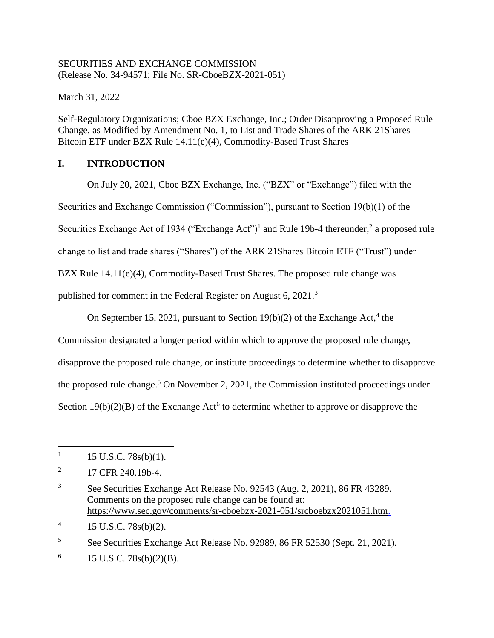### SECURITIES AND EXCHANGE COMMISSION (Release No. 34-94571; File No. SR-CboeBZX-2021-051)

March 31, 2022

Self-Regulatory Organizations; Cboe BZX Exchange, Inc.; Order Disapproving a Proposed Rule Change, as Modified by Amendment No. 1, to List and Trade Shares of the ARK 21Shares Bitcoin ETF under BZX Rule 14.11(e)(4), Commodity-Based Trust Shares

# **I. INTRODUCTION**

On July 20, 2021, Cboe BZX Exchange, Inc. ("BZX" or "Exchange") filed with the Securities and Exchange Commission ("Commission"), pursuant to Section 19(b)(1) of the Securities Exchange Act of 1934 ("Exchange Act")<sup>1</sup> and Rule 19b-4 thereunder,<sup>2</sup> a proposed rule change to list and trade shares ("Shares") of the ARK 21Shares Bitcoin ETF ("Trust") under BZX Rule 14.11(e)(4), Commodity-Based Trust Shares. The proposed rule change was published for comment in the Federal Register on August 6, 2021.<sup>3</sup>

On September 15, 2021, pursuant to Section  $19(b)(2)$  of the Exchange Act,<sup>4</sup> the

Commission designated a longer period within which to approve the proposed rule change, disapprove the proposed rule change, or institute proceedings to determine whether to disapprove the proposed rule change.<sup>5</sup> On November 2, 2021, the Commission instituted proceedings under Section  $19(b)(2)(B)$  of the Exchange Act<sup>6</sup> to determine whether to approve or disapprove the

 $\overline{a}$ 

<sup>3</sup> See Securities Exchange Act Release No. 92543 (Aug. 2, 2021), 86 FR 43289. Comments on the proposed rule change can be found at: https://www.sec.gov/comments/sr-cboebzx-2021-051/srcboebzx2021051.htm.

<sup>5</sup> See Securities Exchange Act Release No. 92989, 86 FR 52530 (Sept. 21, 2021).

6 15 U.S.C. 78s(b)(2)(B).

<sup>1</sup> 15 U.S.C. 78s(b)(1).

<sup>2</sup> 17 CFR 240.19b-4.

<sup>4</sup> 15 U.S.C. 78s(b)(2).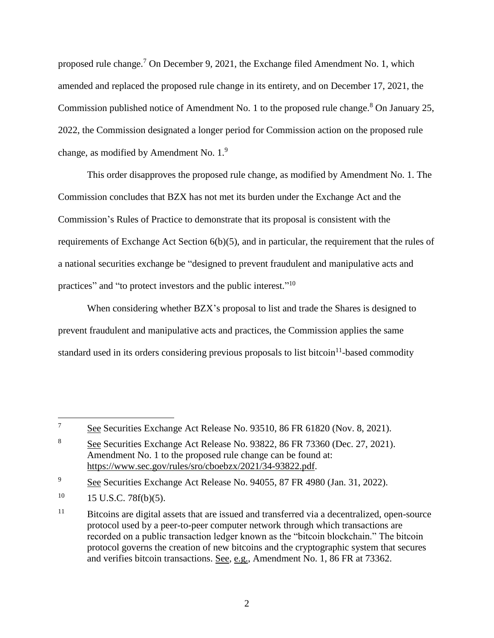proposed rule change.<sup>7</sup> On December 9, 2021, the Exchange filed Amendment No. 1, which amended and replaced the proposed rule change in its entirety, and on December 17, 2021, the Commission published notice of Amendment No. 1 to the proposed rule change.<sup>8</sup> On January 25, 2022, the Commission designated a longer period for Commission action on the proposed rule change, as modified by Amendment No.  $1.^9$ 

This order disapproves the proposed rule change, as modified by Amendment No. 1. The Commission concludes that BZX has not met its burden under the Exchange Act and the Commission's Rules of Practice to demonstrate that its proposal is consistent with the requirements of Exchange Act Section 6(b)(5), and in particular, the requirement that the rules of a national securities exchange be "designed to prevent fraudulent and manipulative acts and practices" and "to protect investors and the public interest."<sup>10</sup>

When considering whether BZX's proposal to list and trade the Shares is designed to prevent fraudulent and manipulative acts and practices, the Commission applies the same standard used in its orders considering previous proposals to list bitcoin<sup>11</sup>-based commodity

<sup>&</sup>lt;sup>7</sup> See Securities Exchange Act Release No. 93510, 86 FR 61820 (Nov. 8, 2021).

<sup>8</sup> See Securities Exchange Act Release No. 93822, 86 FR 73360 (Dec. 27, 2021). Amendment No. 1 to the proposed rule change can be found at: https://www.sec.gov/rules/sro/cboebzx/2021/34-93822.pdf.

<sup>9</sup> See Securities Exchange Act Release No. 94055, 87 FR 4980 (Jan. 31, 2022).

 $10 \qquad 15 \text{ U.S.C. } 78f(b)(5).$ 

<sup>&</sup>lt;sup>11</sup> Bitcoins are digital assets that are issued and transferred via a decentralized, open-source protocol used by a peer-to-peer computer network through which transactions are recorded on a public transaction ledger known as the "bitcoin blockchain." The bitcoin protocol governs the creation of new bitcoins and the cryptographic system that secures and verifies bitcoin transactions. See, e.g., Amendment No. 1, 86 FR at 73362.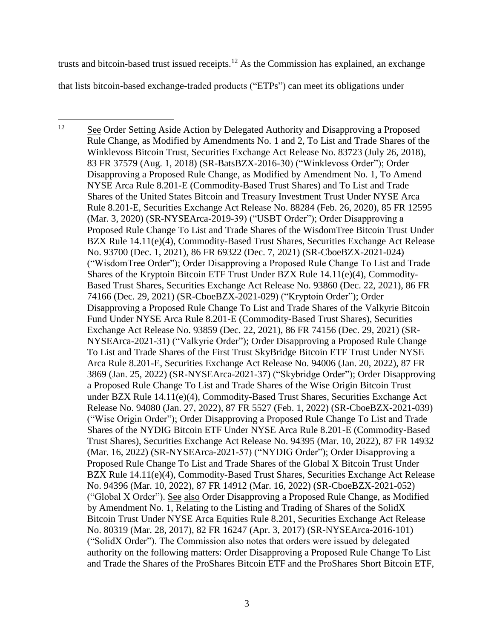trusts and bitcoin-based trust issued receipts.<sup>12</sup> As the Commission has explained, an exchange that lists bitcoin-based exchange-traded products ("ETPs") can meet its obligations under

12 <sup>12</sup> See Order Setting Aside Action by Delegated Authority and Disapproving a Proposed Rule Change, as Modified by Amendments No. 1 and 2, To List and Trade Shares of the Winklevoss Bitcoin Trust, Securities Exchange Act Release No. 83723 (July 26, 2018), 83 FR 37579 (Aug. 1, 2018) (SR-BatsBZX-2016-30) ("Winklevoss Order"); Order Disapproving a Proposed Rule Change, as Modified by Amendment No. 1, To Amend NYSE Arca Rule 8.201-E (Commodity-Based Trust Shares) and To List and Trade Shares of the United States Bitcoin and Treasury Investment Trust Under NYSE Arca Rule 8.201-E, Securities Exchange Act Release No. 88284 (Feb. 26, 2020), 85 FR 12595 (Mar. 3, 2020) (SR-NYSEArca-2019-39) ("USBT Order"); Order Disapproving a Proposed Rule Change To List and Trade Shares of the WisdomTree Bitcoin Trust Under BZX Rule 14.11(e)(4), Commodity-Based Trust Shares, Securities Exchange Act Release No. 93700 (Dec. 1, 2021), 86 FR 69322 (Dec. 7, 2021) (SR-CboeBZX-2021-024) ("WisdomTree Order"); Order Disapproving a Proposed Rule Change To List and Trade Shares of the Kryptoin Bitcoin ETF Trust Under BZX Rule 14.11(e)(4), Commodity-Based Trust Shares, Securities Exchange Act Release No. 93860 (Dec. 22, 2021), 86 FR 74166 (Dec. 29, 2021) (SR-CboeBZX-2021-029) ("Kryptoin Order"); Order Disapproving a Proposed Rule Change To List and Trade Shares of the Valkyrie Bitcoin Fund Under NYSE Arca Rule 8.201-E (Commodity-Based Trust Shares), Securities Exchange Act Release No. 93859 (Dec. 22, 2021), 86 FR 74156 (Dec. 29, 2021) (SR-NYSEArca-2021-31) ("Valkyrie Order"); Order Disapproving a Proposed Rule Change To List and Trade Shares of the First Trust SkyBridge Bitcoin ETF Trust Under NYSE Arca Rule 8.201-E, Securities Exchange Act Release No. 94006 (Jan. 20, 2022), 87 FR 3869 (Jan. 25, 2022) (SR-NYSEArca-2021-37) ("Skybridge Order"); Order Disapproving a Proposed Rule Change To List and Trade Shares of the Wise Origin Bitcoin Trust under BZX Rule 14.11(e)(4), Commodity-Based Trust Shares, Securities Exchange Act Release No. 94080 (Jan. 27, 2022), 87 FR 5527 (Feb. 1, 2022) (SR-CboeBZX-2021-039) ("Wise Origin Order"); Order Disapproving a Proposed Rule Change To List and Trade Shares of the NYDIG Bitcoin ETF Under NYSE Arca Rule 8.201-E (Commodity-Based Trust Shares), Securities Exchange Act Release No. 94395 (Mar. 10, 2022), 87 FR 14932 (Mar. 16, 2022) (SR-NYSEArca-2021-57) ("NYDIG Order"); Order Disapproving a Proposed Rule Change To List and Trade Shares of the Global X Bitcoin Trust Under BZX Rule 14.11(e)(4), Commodity-Based Trust Shares, Securities Exchange Act Release No. 94396 (Mar. 10, 2022), 87 FR 14912 (Mar. 16, 2022) (SR-CboeBZX-2021-052) ("Global X Order"). See also Order Disapproving a Proposed Rule Change, as Modified by Amendment No. 1, Relating to the Listing and Trading of Shares of the SolidX Bitcoin Trust Under NYSE Arca Equities Rule 8.201, Securities Exchange Act Release No. 80319 (Mar. 28, 2017), 82 FR 16247 (Apr. 3, 2017) (SR-NYSEArca-2016-101) ("SolidX Order"). The Commission also notes that orders were issued by delegated authority on the following matters: Order Disapproving a Proposed Rule Change To List and Trade the Shares of the ProShares Bitcoin ETF and the ProShares Short Bitcoin ETF,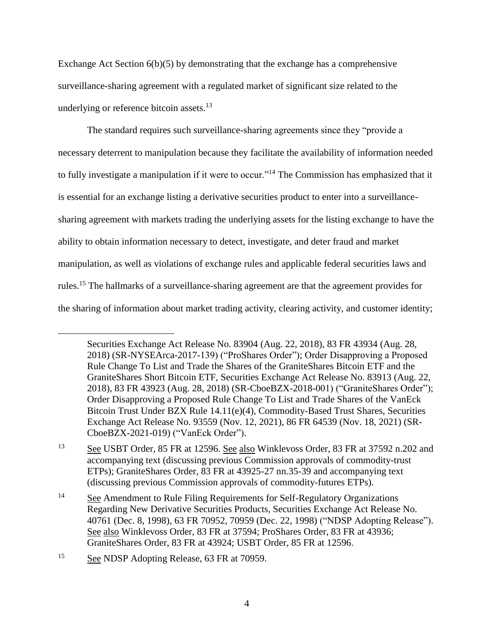Exchange Act Section 6(b)(5) by demonstrating that the exchange has a comprehensive surveillance-sharing agreement with a regulated market of significant size related to the underlying or reference bitcoin assets.<sup>13</sup>

The standard requires such surveillance-sharing agreements since they "provide a necessary deterrent to manipulation because they facilitate the availability of information needed to fully investigate a manipulation if it were to occur."<sup>14</sup> The Commission has emphasized that it is essential for an exchange listing a derivative securities product to enter into a surveillancesharing agreement with markets trading the underlying assets for the listing exchange to have the ability to obtain information necessary to detect, investigate, and deter fraud and market manipulation, as well as violations of exchange rules and applicable federal securities laws and rules.<sup>15</sup> The hallmarks of a surveillance-sharing agreement are that the agreement provides for the sharing of information about market trading activity, clearing activity, and customer identity;

Securities Exchange Act Release No. 83904 (Aug. 22, 2018), 83 FR 43934 (Aug. 28, 2018) (SR-NYSEArca-2017-139) ("ProShares Order"); Order Disapproving a Proposed Rule Change To List and Trade the Shares of the GraniteShares Bitcoin ETF and the GraniteShares Short Bitcoin ETF, Securities Exchange Act Release No. 83913 (Aug. 22, 2018), 83 FR 43923 (Aug. 28, 2018) (SR-CboeBZX-2018-001) ("GraniteShares Order"); Order Disapproving a Proposed Rule Change To List and Trade Shares of the VanEck Bitcoin Trust Under BZX Rule 14.11(e)(4), Commodity-Based Trust Shares, Securities Exchange Act Release No. 93559 (Nov. 12, 2021), 86 FR 64539 (Nov. 18, 2021) (SR-CboeBZX-2021-019) ("VanEck Order").

<sup>13</sup> See USBT Order, 85 FR at 12596. See also Winklevoss Order, 83 FR at 37592 n.202 and accompanying text (discussing previous Commission approvals of commodity-trust ETPs); GraniteShares Order, 83 FR at 43925-27 nn.35-39 and accompanying text (discussing previous Commission approvals of commodity-futures ETPs).

<sup>&</sup>lt;sup>14</sup> See Amendment to Rule Filing Requirements for Self-Regulatory Organizations Regarding New Derivative Securities Products, Securities Exchange Act Release No. 40761 (Dec. 8, 1998), 63 FR 70952, 70959 (Dec. 22, 1998) ("NDSP Adopting Release"). See also Winklevoss Order, 83 FR at 37594; ProShares Order, 83 FR at 43936; GraniteShares Order, 83 FR at 43924; USBT Order, 85 FR at 12596.

<sup>15</sup> See NDSP Adopting Release, 63 FR at 70959.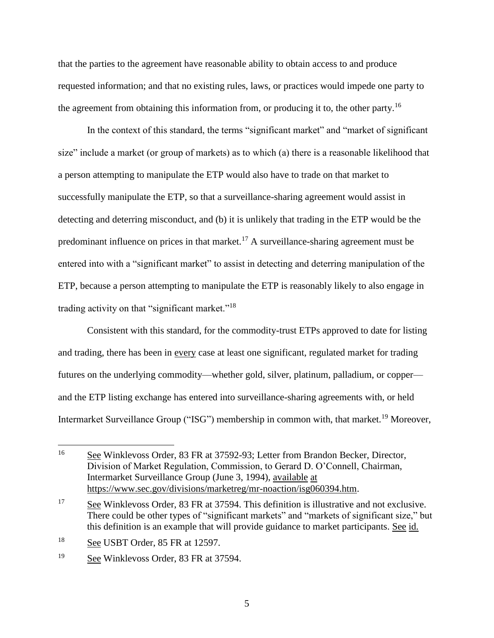that the parties to the agreement have reasonable ability to obtain access to and produce requested information; and that no existing rules, laws, or practices would impede one party to the agreement from obtaining this information from, or producing it to, the other party.<sup>16</sup>

In the context of this standard, the terms "significant market" and "market of significant size" include a market (or group of markets) as to which (a) there is a reasonable likelihood that a person attempting to manipulate the ETP would also have to trade on that market to successfully manipulate the ETP, so that a surveillance-sharing agreement would assist in detecting and deterring misconduct, and (b) it is unlikely that trading in the ETP would be the predominant influence on prices in that market.<sup>17</sup> A surveillance-sharing agreement must be entered into with a "significant market" to assist in detecting and deterring manipulation of the ETP, because a person attempting to manipulate the ETP is reasonably likely to also engage in trading activity on that "significant market."<sup>18</sup>

Consistent with this standard, for the commodity-trust ETPs approved to date for listing and trading, there has been in every case at least one significant, regulated market for trading futures on the underlying commodity—whether gold, silver, platinum, palladium, or copper and the ETP listing exchange has entered into surveillance-sharing agreements with, or held Intermarket Surveillance Group ("ISG") membership in common with, that market.<sup>19</sup> Moreover,

<sup>&</sup>lt;sup>16</sup> See Winklevoss Order, 83 FR at 37592-93; Letter from Brandon Becker, Director, Division of Market Regulation, Commission, to Gerard D. O'Connell, Chairman, Intermarket Surveillance Group (June 3, 1994), available at https://www.sec.gov/divisions/marketreg/mr-noaction/isg060394.htm.

<sup>&</sup>lt;sup>17</sup> See Winklevoss Order, 83 FR at 37594. This definition is illustrative and not exclusive. There could be other types of "significant markets" and "markets of significant size," but this definition is an example that will provide guidance to market participants. See id.

<sup>18</sup> See USBT Order, 85 FR at 12597.

<sup>&</sup>lt;sup>19</sup> See Winklevoss Order, 83 FR at 37594.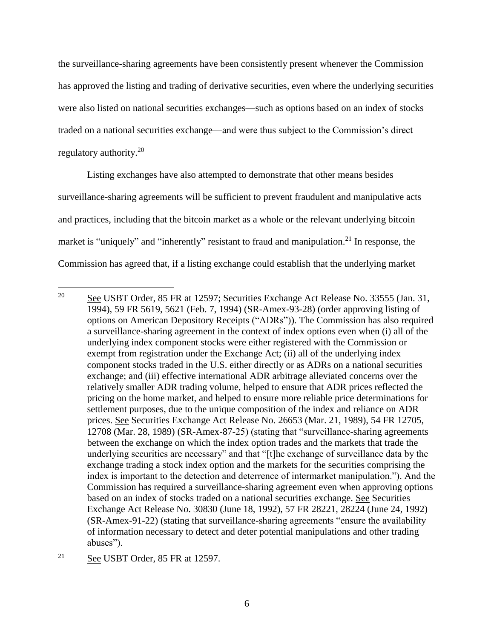the surveillance-sharing agreements have been consistently present whenever the Commission has approved the listing and trading of derivative securities, even where the underlying securities were also listed on national securities exchanges—such as options based on an index of stocks traded on a national securities exchange—and were thus subject to the Commission's direct regulatory authority.<sup>20</sup>

Listing exchanges have also attempted to demonstrate that other means besides surveillance-sharing agreements will be sufficient to prevent fraudulent and manipulative acts and practices, including that the bitcoin market as a whole or the relevant underlying bitcoin market is "uniquely" and "inherently" resistant to fraud and manipulation.<sup>21</sup> In response, the Commission has agreed that, if a listing exchange could establish that the underlying market

 $\overline{a}$ <sup>20</sup> See USBT Order, 85 FR at 12597; Securities Exchange Act Release No. 33555 (Jan. 31, 1994), 59 FR 5619, 5621 (Feb. 7, 1994) (SR-Amex-93-28) (order approving listing of options on American Depository Receipts ("ADRs")). The Commission has also required a surveillance-sharing agreement in the context of index options even when (i) all of the underlying index component stocks were either registered with the Commission or exempt from registration under the Exchange Act; (ii) all of the underlying index component stocks traded in the U.S. either directly or as ADRs on a national securities exchange; and (iii) effective international ADR arbitrage alleviated concerns over the relatively smaller ADR trading volume, helped to ensure that ADR prices reflected the pricing on the home market, and helped to ensure more reliable price determinations for settlement purposes, due to the unique composition of the index and reliance on ADR prices. See Securities Exchange Act Release No. 26653 (Mar. 21, 1989), 54 FR 12705, 12708 (Mar. 28, 1989) (SR-Amex-87-25) (stating that "surveillance-sharing agreements between the exchange on which the index option trades and the markets that trade the underlying securities are necessary" and that "[t]he exchange of surveillance data by the exchange trading a stock index option and the markets for the securities comprising the index is important to the detection and deterrence of intermarket manipulation."). And the Commission has required a surveillance-sharing agreement even when approving options based on an index of stocks traded on a national securities exchange. See Securities Exchange Act Release No. 30830 (June 18, 1992), 57 FR 28221, 28224 (June 24, 1992) (SR-Amex-91-22) (stating that surveillance-sharing agreements "ensure the availability of information necessary to detect and deter potential manipulations and other trading abuses").

<sup>&</sup>lt;sup>21</sup> See USBT Order, 85 FR at 12597.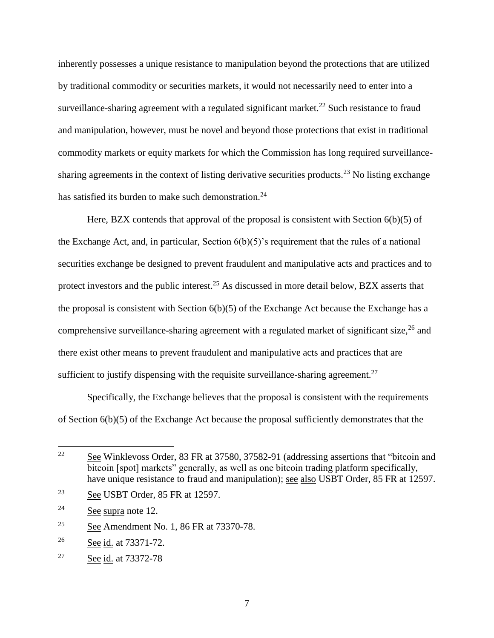inherently possesses a unique resistance to manipulation beyond the protections that are utilized by traditional commodity or securities markets, it would not necessarily need to enter into a surveillance-sharing agreement with a regulated significant market.<sup>22</sup> Such resistance to fraud and manipulation, however, must be novel and beyond those protections that exist in traditional commodity markets or equity markets for which the Commission has long required surveillancesharing agreements in the context of listing derivative securities products.<sup>23</sup> No listing exchange has satisfied its burden to make such demonstration.<sup>24</sup>

Here, BZX contends that approval of the proposal is consistent with Section  $6(b)(5)$  of the Exchange Act, and, in particular, Section  $6(b)(5)$ 's requirement that the rules of a national securities exchange be designed to prevent fraudulent and manipulative acts and practices and to protect investors and the public interest.<sup>25</sup> As discussed in more detail below, BZX asserts that the proposal is consistent with Section  $6(b)(5)$  of the Exchange Act because the Exchange has a comprehensive surveillance-sharing agreement with a regulated market of significant size,  $^{26}$  and there exist other means to prevent fraudulent and manipulative acts and practices that are sufficient to justify dispensing with the requisite surveillance-sharing agreement.<sup>27</sup>

Specifically, the Exchange believes that the proposal is consistent with the requirements of Section 6(b)(5) of the Exchange Act because the proposal sufficiently demonstrates that the

<sup>22</sup> See Winklevoss Order, 83 FR at 37580, 37582-91 (addressing assertions that "bitcoin and bitcoin [spot] markets" generally, as well as one bitcoin trading platform specifically, have unique resistance to fraud and manipulation); see also USBT Order, 85 FR at 12597.

<sup>23</sup> See USBT Order, 85 FR at 12597.

<sup>24</sup> See supra note 12.

<sup>&</sup>lt;sup>25</sup> See Amendment No. 1, 86 FR at 73370-78.

 $26$  See id. at 73371-72.

<sup>27</sup> See id. at 73372-78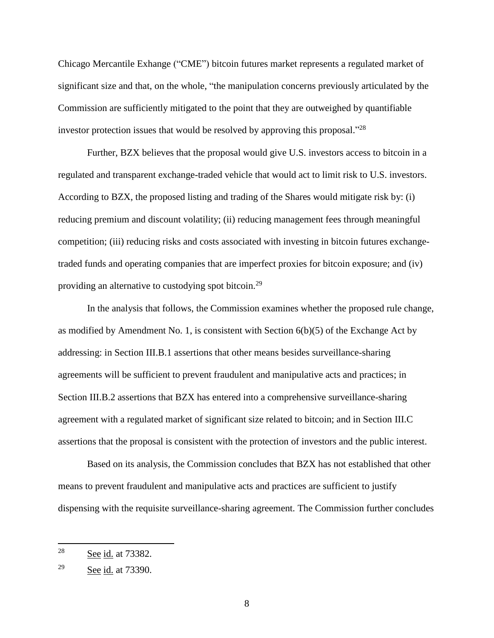Chicago Mercantile Exhange ("CME") bitcoin futures market represents a regulated market of significant size and that, on the whole, "the manipulation concerns previously articulated by the Commission are sufficiently mitigated to the point that they are outweighed by quantifiable investor protection issues that would be resolved by approving this proposal."<sup>28</sup>

Further, BZX believes that the proposal would give U.S. investors access to bitcoin in a regulated and transparent exchange-traded vehicle that would act to limit risk to U.S. investors. According to BZX, the proposed listing and trading of the Shares would mitigate risk by: (i) reducing premium and discount volatility; (ii) reducing management fees through meaningful competition; (iii) reducing risks and costs associated with investing in bitcoin futures exchangetraded funds and operating companies that are imperfect proxies for bitcoin exposure; and (iv) providing an alternative to custodying spot bitcoin.<sup>29</sup>

In the analysis that follows, the Commission examines whether the proposed rule change, as modified by Amendment No. 1, is consistent with Section  $6(b)(5)$  of the Exchange Act by addressing: in Section III.B.1 assertions that other means besides surveillance-sharing agreements will be sufficient to prevent fraudulent and manipulative acts and practices; in Section III.B.2 assertions that BZX has entered into a comprehensive surveillance-sharing agreement with a regulated market of significant size related to bitcoin; and in Section III.C assertions that the proposal is consistent with the protection of investors and the public interest.

Based on its analysis, the Commission concludes that BZX has not established that other means to prevent fraudulent and manipulative acts and practices are sufficient to justify dispensing with the requisite surveillance-sharing agreement. The Commission further concludes

<sup>&</sup>lt;sup>28</sup> See <u>id.</u> at 73382.

<sup>29</sup> See id. at 73390.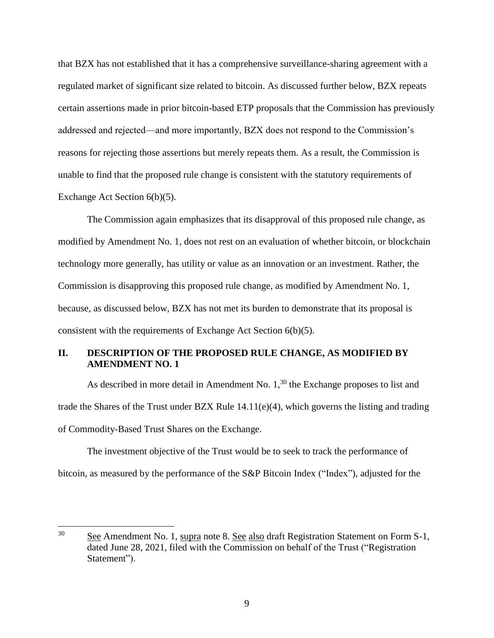that BZX has not established that it has a comprehensive surveillance-sharing agreement with a regulated market of significant size related to bitcoin. As discussed further below, BZX repeats certain assertions made in prior bitcoin-based ETP proposals that the Commission has previously addressed and rejected⸺and more importantly, BZX does not respond to the Commission's reasons for rejecting those assertions but merely repeats them. As a result, the Commission is unable to find that the proposed rule change is consistent with the statutory requirements of Exchange Act Section 6(b)(5).

The Commission again emphasizes that its disapproval of this proposed rule change, as modified by Amendment No. 1, does not rest on an evaluation of whether bitcoin, or blockchain technology more generally, has utility or value as an innovation or an investment. Rather, the Commission is disapproving this proposed rule change, as modified by Amendment No. 1, because, as discussed below, BZX has not met its burden to demonstrate that its proposal is consistent with the requirements of Exchange Act Section 6(b)(5).

### **II. DESCRIPTION OF THE PROPOSED RULE CHANGE, AS MODIFIED BY AMENDMENT NO. 1**

As described in more detail in Amendment No.  $1<sup>30</sup>$ , the Exchange proposes to list and trade the Shares of the Trust under BZX Rule 14.11(e)(4), which governs the listing and trading of Commodity-Based Trust Shares on the Exchange.

The investment objective of the Trust would be to seek to track the performance of bitcoin, as measured by the performance of the S&P Bitcoin Index ("Index"), adjusted for the

<sup>&</sup>lt;sup>30</sup> See Amendment No. 1, supra note 8. See also draft Registration Statement on Form S-1, dated June 28, 2021, filed with the Commission on behalf of the Trust ("Registration Statement").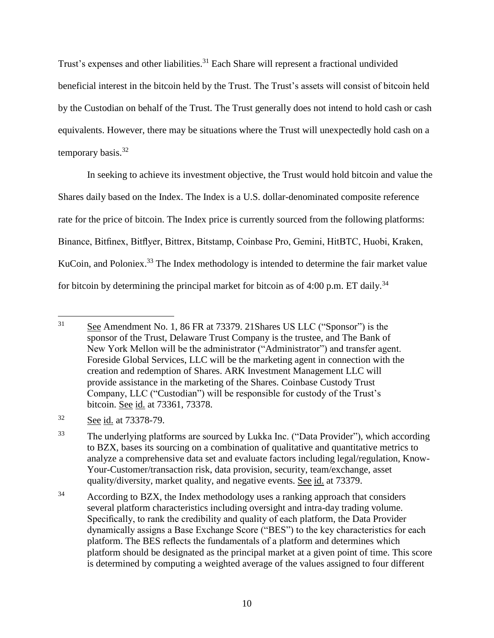Trust's expenses and other liabilities.<sup>31</sup> Each Share will represent a fractional undivided beneficial interest in the bitcoin held by the Trust. The Trust's assets will consist of bitcoin held by the Custodian on behalf of the Trust. The Trust generally does not intend to hold cash or cash equivalents. However, there may be situations where the Trust will unexpectedly hold cash on a temporary basis. $32$ 

In seeking to achieve its investment objective, the Trust would hold bitcoin and value the Shares daily based on the Index. The Index is a U.S. dollar-denominated composite reference rate for the price of bitcoin. The Index price is currently sourced from the following platforms: Binance, Bitfinex, Bitflyer, Bittrex, Bitstamp, Coinbase Pro, Gemini, HitBTC, Huobi, Kraken, KuCoin, and Poloniex.<sup>33</sup> The Index methodology is intended to determine the fair market value for bitcoin by determining the principal market for bitcoin as of 4:00 p.m. ET daily.<sup>34</sup>

<sup>&</sup>lt;sup>31</sup> See Amendment No. 1, 86 FR at 73379. 21 Shares US LLC ("Sponsor") is the sponsor of the Trust, Delaware Trust Company is the trustee, and The Bank of New York Mellon will be the administrator ("Administrator") and transfer agent. Foreside Global Services, LLC will be the marketing agent in connection with the creation and redemption of Shares. ARK Investment Management LLC will provide assistance in the marketing of the Shares. Coinbase Custody Trust Company, LLC ("Custodian") will be responsible for custody of the Trust's bitcoin. See id. at 73361, 73378.

<sup>&</sup>lt;sup>32</sup> See <u>id.</u> at 73378-79.

<sup>33</sup> The underlying platforms are sourced by Lukka Inc. ("Data Provider"), which according to BZX, bases its sourcing on a combination of qualitative and quantitative metrics to analyze a comprehensive data set and evaluate factors including legal/regulation, Know-Your-Customer/transaction risk, data provision, security, team/exchange, asset quality/diversity, market quality, and negative events. See id. at 73379.

 $34$  According to BZX, the Index methodology uses a ranking approach that considers several platform characteristics including oversight and intra-day trading volume. Specifically, to rank the credibility and quality of each platform, the Data Provider dynamically assigns a Base Exchange Score ("BES") to the key characteristics for each platform. The BES reflects the fundamentals of a platform and determines which platform should be designated as the principal market at a given point of time. This score is determined by computing a weighted average of the values assigned to four different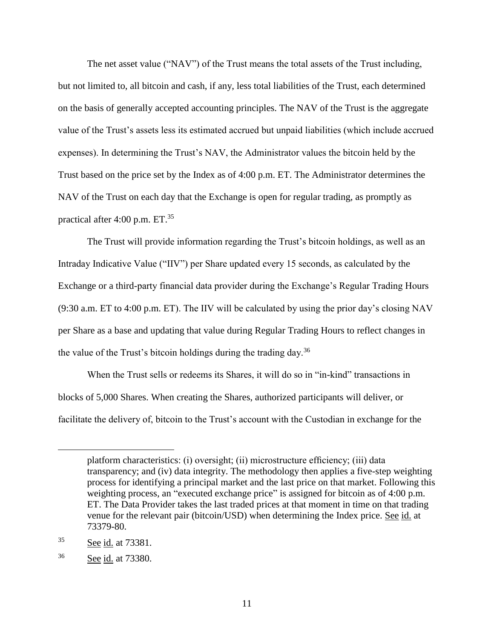The net asset value ("NAV") of the Trust means the total assets of the Trust including, but not limited to, all bitcoin and cash, if any, less total liabilities of the Trust, each determined on the basis of generally accepted accounting principles. The NAV of the Trust is the aggregate value of the Trust's assets less its estimated accrued but unpaid liabilities (which include accrued expenses). In determining the Trust's NAV, the Administrator values the bitcoin held by the Trust based on the price set by the Index as of 4:00 p.m. ET. The Administrator determines the NAV of the Trust on each day that the Exchange is open for regular trading, as promptly as practical after 4:00 p.m.  $ET^{35}$ 

The Trust will provide information regarding the Trust's bitcoin holdings, as well as an Intraday Indicative Value ("IIV") per Share updated every 15 seconds, as calculated by the Exchange or a third-party financial data provider during the Exchange's Regular Trading Hours (9:30 a.m. ET to 4:00 p.m. ET). The IIV will be calculated by using the prior day's closing NAV per Share as a base and updating that value during Regular Trading Hours to reflect changes in the value of the Trust's bitcoin holdings during the trading day.<sup>36</sup>

When the Trust sells or redeems its Shares, it will do so in "in-kind" transactions in blocks of 5,000 Shares. When creating the Shares, authorized participants will deliver, or facilitate the delivery of, bitcoin to the Trust's account with the Custodian in exchange for the

platform characteristics: (i) oversight; (ii) microstructure efficiency; (iii) data transparency; and (iv) data integrity. The methodology then applies a five-step weighting process for identifying a principal market and the last price on that market. Following this weighting process, an "executed exchange price" is assigned for bitcoin as of 4:00 p.m. ET. The Data Provider takes the last traded prices at that moment in time on that trading venue for the relevant pair (bitcoin/USD) when determining the Index price. See id. at 73379-80.

<sup>&</sup>lt;sup>35</sup> See id. at 73381.

<sup>36</sup> See id. at 73380.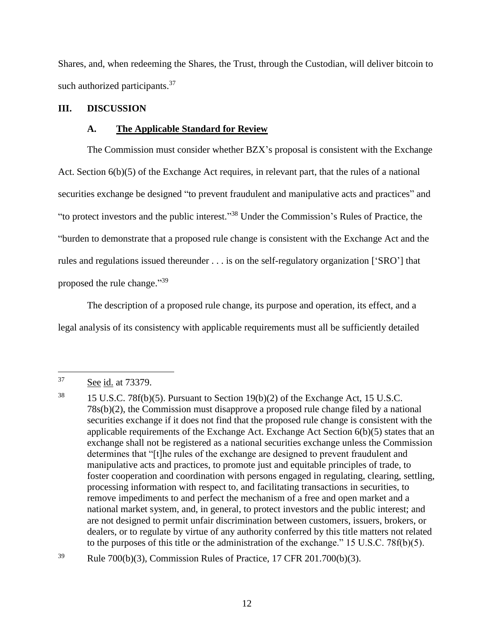Shares, and, when redeeming the Shares, the Trust, through the Custodian, will deliver bitcoin to such authorized participants.<sup>37</sup>

### **III. DISCUSSION**

### **A. The Applicable Standard for Review**

The Commission must consider whether BZX's proposal is consistent with the Exchange Act. Section 6(b)(5) of the Exchange Act requires, in relevant part, that the rules of a national securities exchange be designed "to prevent fraudulent and manipulative acts and practices" and "to protect investors and the public interest." <sup>38</sup> Under the Commission's Rules of Practice, the "burden to demonstrate that a proposed rule change is consistent with the Exchange Act and the rules and regulations issued thereunder . . . is on the self-regulatory organization ['SRO'] that proposed the rule change."<sup>39</sup>

The description of a proposed rule change, its purpose and operation, its effect, and a legal analysis of its consistency with applicable requirements must all be sufficiently detailed

 $\overline{a}$ 

 $39$  Rule 700(b)(3), Commission Rules of Practice, 17 CFR 201.700(b)(3).

<sup>37</sup> See id. at 73379.

<sup>&</sup>lt;sup>38</sup> 15 U.S.C. 78f(b)(5). Pursuant to Section 19(b)(2) of the Exchange Act, 15 U.S.C. 78s(b)(2), the Commission must disapprove a proposed rule change filed by a national securities exchange if it does not find that the proposed rule change is consistent with the applicable requirements of the Exchange Act. Exchange Act Section 6(b)(5) states that an exchange shall not be registered as a national securities exchange unless the Commission determines that "[t]he rules of the exchange are designed to prevent fraudulent and manipulative acts and practices, to promote just and equitable principles of trade, to foster cooperation and coordination with persons engaged in regulating, clearing, settling, processing information with respect to, and facilitating transactions in securities, to remove impediments to and perfect the mechanism of a free and open market and a national market system, and, in general, to protect investors and the public interest; and are not designed to permit unfair discrimination between customers, issuers, brokers, or dealers, or to regulate by virtue of any authority conferred by this title matters not related to the purposes of this title or the administration of the exchange." 15 U.S.C. 78 $f(b)(5)$ .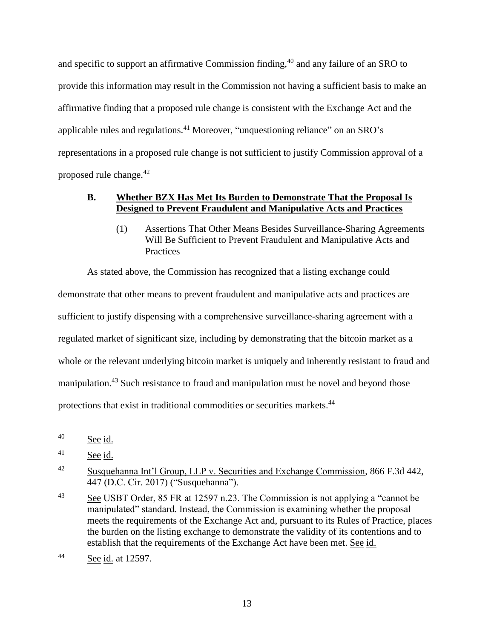and specific to support an affirmative Commission finding,<sup>40</sup> and any failure of an SRO to provide this information may result in the Commission not having a sufficient basis to make an affirmative finding that a proposed rule change is consistent with the Exchange Act and the applicable rules and regulations.<sup>41</sup> Moreover, "unquestioning reliance" on an SRO's representations in a proposed rule change is not sufficient to justify Commission approval of a proposed rule change.<sup>42</sup>

### **B. Whether BZX Has Met Its Burden to Demonstrate That the Proposal Is Designed to Prevent Fraudulent and Manipulative Acts and Practices**

(1) Assertions That Other Means Besides Surveillance-Sharing Agreements Will Be Sufficient to Prevent Fraudulent and Manipulative Acts and **Practices** 

As stated above, the Commission has recognized that a listing exchange could demonstrate that other means to prevent fraudulent and manipulative acts and practices are sufficient to justify dispensing with a comprehensive surveillance-sharing agreement with a regulated market of significant size, including by demonstrating that the bitcoin market as a whole or the relevant underlying bitcoin market is uniquely and inherently resistant to fraud and manipulation.<sup>43</sup> Such resistance to fraud and manipulation must be novel and beyond those protections that exist in traditional commodities or securities markets.<sup>44</sup>

<sup>40</sup> See id.

<sup>41</sup> See id.

<sup>42</sup> Susquehanna Int'l Group, LLP v. Securities and Exchange Commission, 866 F.3d 442, 447 (D.C. Cir. 2017) ("Susquehanna").

<sup>43</sup> See USBT Order, 85 FR at 12597 n.23. The Commission is not applying a "cannot be manipulated" standard. Instead, the Commission is examining whether the proposal meets the requirements of the Exchange Act and, pursuant to its Rules of Practice, places the burden on the listing exchange to demonstrate the validity of its contentions and to establish that the requirements of the Exchange Act have been met. See id.

<sup>44</sup> See id. at 12597.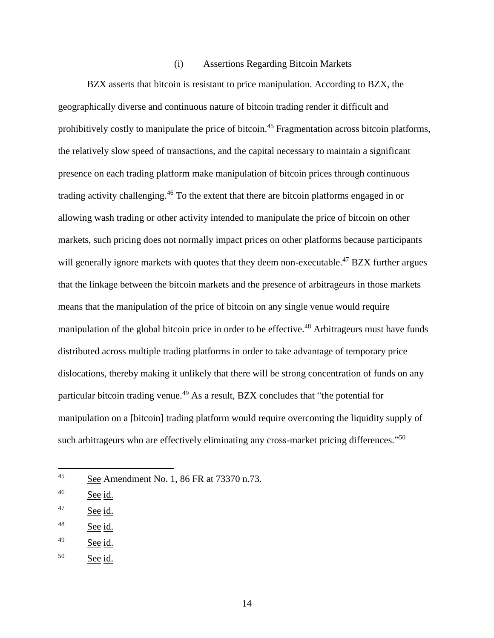#### (i) Assertions Regarding Bitcoin Markets

BZX asserts that bitcoin is resistant to price manipulation. According to BZX, the geographically diverse and continuous nature of bitcoin trading render it difficult and prohibitively costly to manipulate the price of bitcoin.<sup>45</sup> Fragmentation across bitcoin platforms, the relatively slow speed of transactions, and the capital necessary to maintain a significant presence on each trading platform make manipulation of bitcoin prices through continuous trading activity challenging.<sup>46</sup> To the extent that there are bitcoin platforms engaged in or allowing wash trading or other activity intended to manipulate the price of bitcoin on other markets, such pricing does not normally impact prices on other platforms because participants will generally ignore markets with quotes that they deem non-executable.<sup>47</sup> BZX further argues that the linkage between the bitcoin markets and the presence of arbitrageurs in those markets means that the manipulation of the price of bitcoin on any single venue would require manipulation of the global bitcoin price in order to be effective.<sup>48</sup> Arbitrageurs must have funds distributed across multiple trading platforms in order to take advantage of temporary price dislocations, thereby making it unlikely that there will be strong concentration of funds on any particular bitcoin trading venue.<sup>49</sup> As a result, BZX concludes that "the potential for manipulation on a [bitcoin] trading platform would require overcoming the liquidity supply of such arbitrageurs who are effectively eliminating any cross-market pricing differences."<sup>50</sup>

<sup>45</sup> See Amendment No. 1, 86 FR at 73370 n.73.

<sup>46</sup> See id.

<sup>47</sup> See id.

 $48$  See id.

<sup>49</sup> See id.

<sup>50</sup> See id.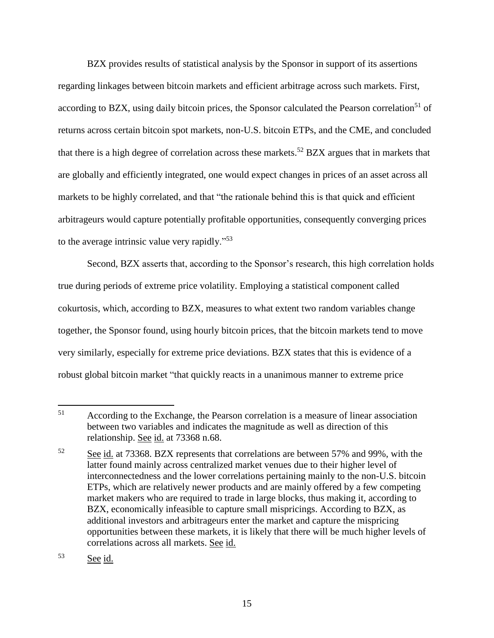BZX provides results of statistical analysis by the Sponsor in support of its assertions regarding linkages between bitcoin markets and efficient arbitrage across such markets. First, according to BZX, using daily bitcoin prices, the Sponsor calculated the Pearson correlation<sup>51</sup> of returns across certain bitcoin spot markets, non-U.S. bitcoin ETPs, and the CME, and concluded that there is a high degree of correlation across these markets.<sup>52</sup> BZX argues that in markets that are globally and efficiently integrated, one would expect changes in prices of an asset across all markets to be highly correlated, and that "the rationale behind this is that quick and efficient arbitrageurs would capture potentially profitable opportunities, consequently converging prices to the average intrinsic value very rapidly."<sup>53</sup>

Second, BZX asserts that, according to the Sponsor's research, this high correlation holds true during periods of extreme price volatility. Employing a statistical component called cokurtosis, which, according to BZX, measures to what extent two random variables change together, the Sponsor found, using hourly bitcoin prices, that the bitcoin markets tend to move very similarly, especially for extreme price deviations. BZX states that this is evidence of a robust global bitcoin market "that quickly reacts in a unanimous manner to extreme price

<sup>53</sup> See id.

<sup>51</sup> According to the Exchange, the Pearson correlation is a measure of linear association between two variables and indicates the magnitude as well as direction of this relationship. See id. at 73368 n.68.

<sup>52</sup> See id. at 73368. BZX represents that correlations are between 57% and 99%, with the latter found mainly across centralized market venues due to their higher level of interconnectedness and the lower correlations pertaining mainly to the non-U.S. bitcoin ETPs, which are relatively newer products and are mainly offered by a few competing market makers who are required to trade in large blocks, thus making it, according to BZX, economically infeasible to capture small mispricings. According to BZX, as additional investors and arbitrageurs enter the market and capture the mispricing opportunities between these markets, it is likely that there will be much higher levels of correlations across all markets. See id.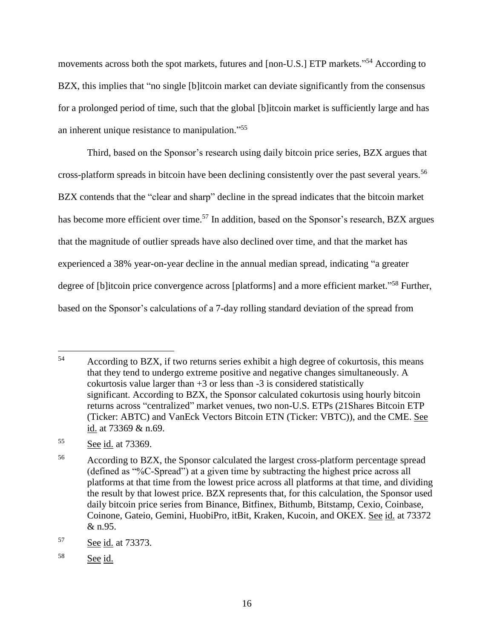movements across both the spot markets, futures and [non-U.S.] ETP markets."<sup>54</sup> According to BZX, this implies that "no single [b]itcoin market can deviate significantly from the consensus for a prolonged period of time, such that the global [b]itcoin market is sufficiently large and has an inherent unique resistance to manipulation."<sup>55</sup>

Third, based on the Sponsor's research using daily bitcoin price series, BZX argues that cross-platform spreads in bitcoin have been declining consistently over the past several years.<sup>56</sup> BZX contends that the "clear and sharp" decline in the spread indicates that the bitcoin market has become more efficient over time.<sup>57</sup> In addition, based on the Sponsor's research, BZX argues that the magnitude of outlier spreads have also declined over time, and that the market has experienced a 38% year-on-year decline in the annual median spread, indicating "a greater degree of [b]itcoin price convergence across [platforms] and a more efficient market."<sup>58</sup> Further, based on the Sponsor's calculations of a 7-day rolling standard deviation of the spread from

<sup>54</sup> According to BZX, if two returns series exhibit a high degree of cokurtosis, this means that they tend to undergo extreme positive and negative changes simultaneously. A cokurtosis value larger than  $+3$  or less than  $-3$  is considered statistically significant. According to BZX, the Sponsor calculated cokurtosis using hourly bitcoin returns across "centralized" market venues, two non-U.S. ETPs (21Shares Bitcoin ETP (Ticker: ABTC) and VanEck Vectors Bitcoin ETN (Ticker: VBTC)), and the CME. See id. at 73369 & n.69.

<sup>55</sup> See id. at 73369.

<sup>&</sup>lt;sup>56</sup> According to BZX, the Sponsor calculated the largest cross-platform percentage spread (defined as "%C-Spread") at a given time by subtracting the highest price across all platforms at that time from the lowest price across all platforms at that time, and dividing the result by that lowest price. BZX represents that, for this calculation, the Sponsor used daily bitcoin price series from Binance, Bitfinex, Bithumb, Bitstamp, Cexio, Coinbase, Coinone, Gateio, Gemini, HuobiPro, itBit, Kraken, Kucoin, and OKEX. See id. at 73372 & n.95.

<sup>57</sup> See id. at 73373.

<sup>58</sup> See id.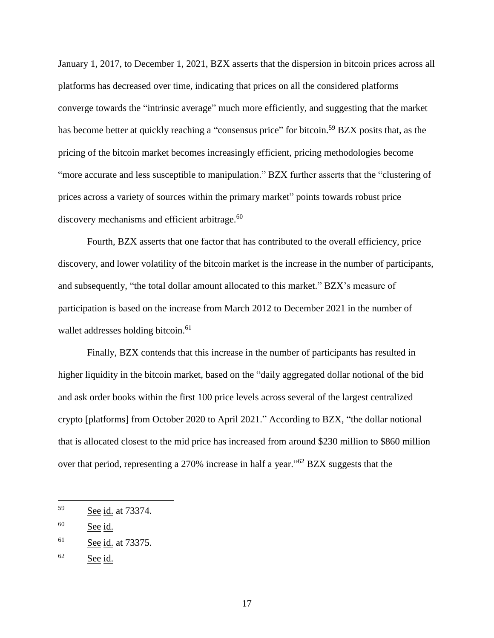January 1, 2017, to December 1, 2021, BZX asserts that the dispersion in bitcoin prices across all platforms has decreased over time, indicating that prices on all the considered platforms converge towards the "intrinsic average" much more efficiently, and suggesting that the market has become better at quickly reaching a "consensus price" for bitcoin.<sup>59</sup> BZX posits that, as the pricing of the bitcoin market becomes increasingly efficient, pricing methodologies become "more accurate and less susceptible to manipulation." BZX further asserts that the "clustering of prices across a variety of sources within the primary market" points towards robust price discovery mechanisms and efficient arbitrage.<sup>60</sup>

Fourth, BZX asserts that one factor that has contributed to the overall efficiency, price discovery, and lower volatility of the bitcoin market is the increase in the number of participants, and subsequently, "the total dollar amount allocated to this market." BZX's measure of participation is based on the increase from March 2012 to December 2021 in the number of wallet addresses holding bitcoin.<sup>61</sup>

Finally, BZX contends that this increase in the number of participants has resulted in higher liquidity in the bitcoin market, based on the "daily aggregated dollar notional of the bid and ask order books within the first 100 price levels across several of the largest centralized crypto [platforms] from October 2020 to April 2021." According to BZX, "the dollar notional that is allocated closest to the mid price has increased from around \$230 million to \$860 million over that period, representing a 270% increase in half a year."<sup>62</sup> BZX suggests that the

<sup>59</sup> See id. at 73374.

<sup>60</sup> See id.

<sup>61</sup> See id. at 73375.

 $62$  See id.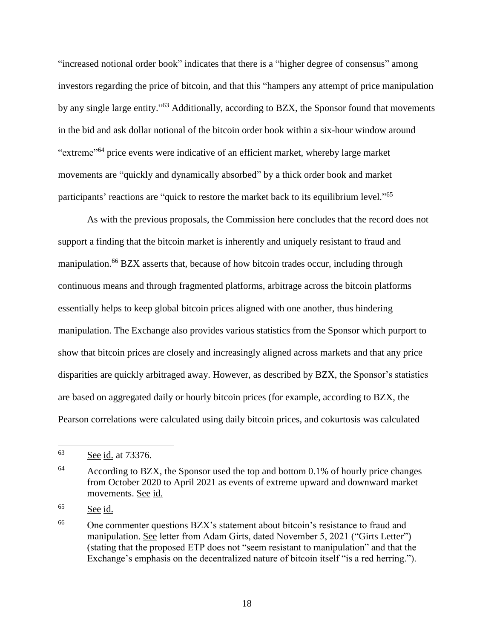"increased notional order book" indicates that there is a "higher degree of consensus" among investors regarding the price of bitcoin, and that this "hampers any attempt of price manipulation by any single large entity."<sup>63</sup> Additionally, according to BZX, the Sponsor found that movements in the bid and ask dollar notional of the bitcoin order book within a six-hour window around "extreme"<sup>64</sup> price events were indicative of an efficient market, whereby large market movements are "quickly and dynamically absorbed" by a thick order book and market participants' reactions are "quick to restore the market back to its equilibrium level."<sup>65</sup>

As with the previous proposals, the Commission here concludes that the record does not support a finding that the bitcoin market is inherently and uniquely resistant to fraud and manipulation.<sup>66</sup> BZX asserts that, because of how bitcoin trades occur, including through continuous means and through fragmented platforms, arbitrage across the bitcoin platforms essentially helps to keep global bitcoin prices aligned with one another, thus hindering manipulation. The Exchange also provides various statistics from the Sponsor which purport to show that bitcoin prices are closely and increasingly aligned across markets and that any price disparities are quickly arbitraged away. However, as described by BZX, the Sponsor's statistics are based on aggregated daily or hourly bitcoin prices (for example, according to BZX, the Pearson correlations were calculated using daily bitcoin prices, and cokurtosis was calculated

<sup>63</sup> See id. at 73376.

 $64$  According to BZX, the Sponsor used the top and bottom 0.1% of hourly price changes from October 2020 to April 2021 as events of extreme upward and downward market movements. See id.

<sup>65</sup> See id.

<sup>&</sup>lt;sup>66</sup> One commenter questions BZX's statement about bitcoin's resistance to fraud and manipulation. See letter from Adam Girts, dated November 5, 2021 ("Girts Letter") (stating that the proposed ETP does not "seem resistant to manipulation" and that the Exchange's emphasis on the decentralized nature of bitcoin itself "is a red herring.").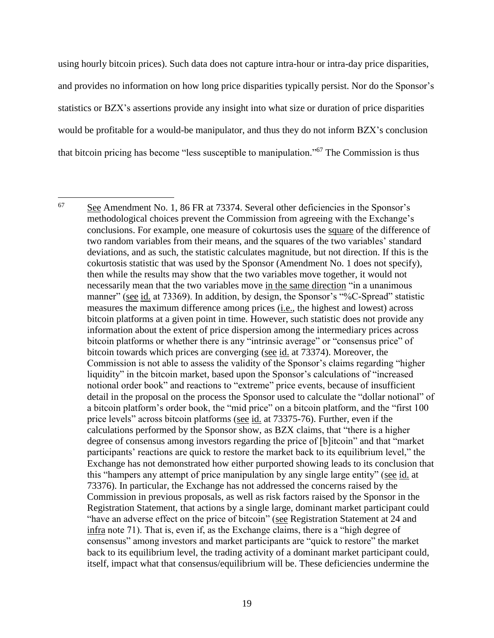using hourly bitcoin prices). Such data does not capture intra-hour or intra-day price disparities, and provides no information on how long price disparities typically persist. Nor do the Sponsor's statistics or BZX's assertions provide any insight into what size or duration of price disparities would be profitable for a would-be manipulator, and thus they do not inform BZX's conclusion that bitcoin pricing has become "less susceptible to manipulation."<sup>67</sup> The Commission is thus

<sup>67</sup> See Amendment No. 1, 86 FR at 73374. Several other deficiencies in the Sponsor's methodological choices prevent the Commission from agreeing with the Exchange's conclusions. For example, one measure of cokurtosis uses the square of the difference of two random variables from their means, and the squares of the two variables' standard deviations, and as such, the statistic calculates magnitude, but not direction. If this is the cokurtosis statistic that was used by the Sponsor (Amendment No. 1 does not specify), then while the results may show that the two variables move together, it would not necessarily mean that the two variables move in the same direction "in a unanimous manner" (see id. at 73369). In addition, by design, the Sponsor's "%C-Spread" statistic measures the maximum difference among prices (i.e., the highest and lowest) across bitcoin platforms at a given point in time. However, such statistic does not provide any information about the extent of price dispersion among the intermediary prices across bitcoin platforms or whether there is any "intrinsic average" or "consensus price" of bitcoin towards which prices are converging (see id. at 73374). Moreover, the Commission is not able to assess the validity of the Sponsor's claims regarding "higher liquidity" in the bitcoin market, based upon the Sponsor's calculations of "increased notional order book" and reactions to "extreme" price events, because of insufficient detail in the proposal on the process the Sponsor used to calculate the "dollar notional" of a bitcoin platform's order book, the "mid price" on a bitcoin platform, and the "first 100 price levels" across bitcoin platforms (see id. at 73375-76). Further, even if the calculations performed by the Sponsor show, as BZX claims, that "there is a higher degree of consensus among investors regarding the price of [b]itcoin" and that "market participants' reactions are quick to restore the market back to its equilibrium level," the Exchange has not demonstrated how either purported showing leads to its conclusion that this "hampers any attempt of price manipulation by any single large entity" (see id. at 73376). In particular, the Exchange has not addressed the concerns raised by the Commission in previous proposals, as well as risk factors raised by the Sponsor in the Registration Statement, that actions by a single large, dominant market participant could "have an adverse effect on the price of bitcoin" (see Registration Statement at 24 and infra note 71). That is, even if, as the Exchange claims, there is a "high degree of consensus" among investors and market participants are "quick to restore" the market back to its equilibrium level, the trading activity of a dominant market participant could, itself, impact what that consensus/equilibrium will be. These deficiencies undermine the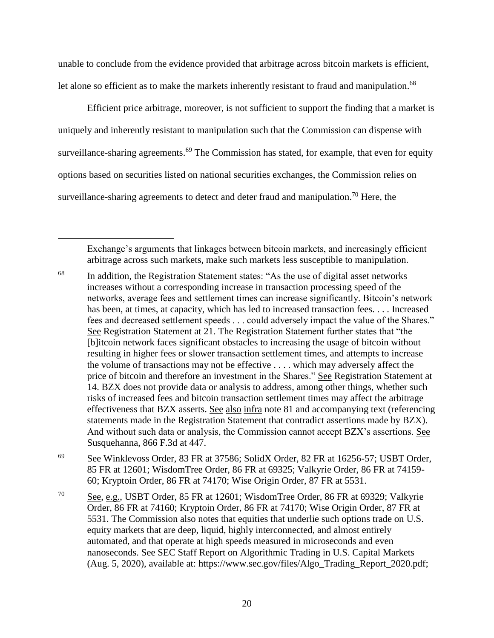unable to conclude from the evidence provided that arbitrage across bitcoin markets is efficient, let alone so efficient as to make the markets inherently resistant to fraud and manipulation.<sup>68</sup>

Efficient price arbitrage, moreover, is not sufficient to support the finding that a market is uniquely and inherently resistant to manipulation such that the Commission can dispense with surveillance-sharing agreements.<sup>69</sup> The Commission has stated, for example, that even for equity options based on securities listed on national securities exchanges, the Commission relies on surveillance-sharing agreements to detect and deter fraud and manipulation.<sup>70</sup> Here, the

Exchange's arguments that linkages between bitcoin markets, and increasingly efficient arbitrage across such markets, make such markets less susceptible to manipulation.

- <sup>68</sup> In addition, the Registration Statement states: "As the use of digital asset networks increases without a corresponding increase in transaction processing speed of the networks, average fees and settlement times can increase significantly. Bitcoin's network has been, at times, at capacity, which has led to increased transaction fees.... Increased fees and decreased settlement speeds . . . could adversely impact the value of the Shares." See Registration Statement at 21. The Registration Statement further states that "the [b]itcoin network faces significant obstacles to increasing the usage of bitcoin without resulting in higher fees or slower transaction settlement times, and attempts to increase the volume of transactions may not be effective . . . . which may adversely affect the price of bitcoin and therefore an investment in the Shares." See Registration Statement at 14. BZX does not provide data or analysis to address, among other things, whether such risks of increased fees and bitcoin transaction settlement times may affect the arbitrage effectiveness that BZX asserts. See also infra note 81 and accompanying text (referencing statements made in the Registration Statement that contradict assertions made by BZX). And without such data or analysis, the Commission cannot accept BZX's assertions. See Susquehanna, 866 F.3d at 447.
- <sup>69</sup> See Winklevoss Order, 83 FR at 37586; SolidX Order, 82 FR at 16256-57; USBT Order, 85 FR at 12601; WisdomTree Order, 86 FR at 69325; Valkyrie Order, 86 FR at 74159- 60; Kryptoin Order, 86 FR at 74170; Wise Origin Order, 87 FR at 5531.
- <sup>70</sup> See, e.g., USBT Order, 85 FR at 12601; WisdomTree Order, 86 FR at 69329; Valkyrie Order, 86 FR at 74160; Kryptoin Order, 86 FR at 74170; Wise Origin Order, 87 FR at 5531. The Commission also notes that equities that underlie such options trade on U.S. equity markets that are deep, liquid, highly interconnected, and almost entirely automated, and that operate at high speeds measured in microseconds and even nanoseconds. See SEC Staff Report on Algorithmic Trading in U.S. Capital Markets (Aug. 5, 2020), available at: https://www.sec.gov/files/Algo\_Trading\_Report\_2020.pdf;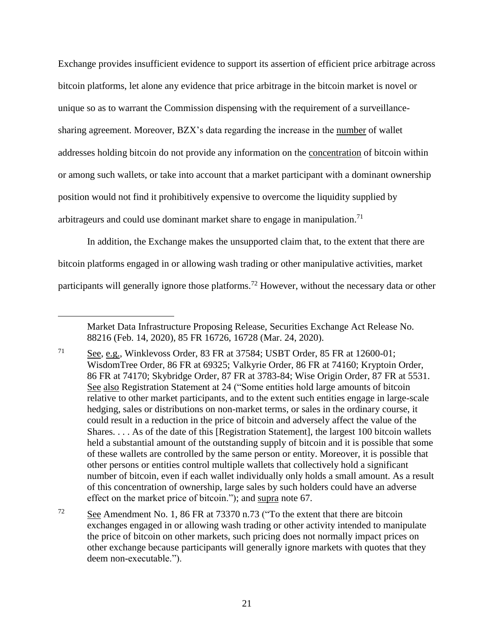Exchange provides insufficient evidence to support its assertion of efficient price arbitrage across bitcoin platforms, let alone any evidence that price arbitrage in the bitcoin market is novel or unique so as to warrant the Commission dispensing with the requirement of a surveillancesharing agreement. Moreover, BZX's data regarding the increase in the number of wallet addresses holding bitcoin do not provide any information on the concentration of bitcoin within or among such wallets, or take into account that a market participant with a dominant ownership position would not find it prohibitively expensive to overcome the liquidity supplied by arbitrageurs and could use dominant market share to engage in manipulation.<sup>71</sup>

In addition, the Exchange makes the unsupported claim that, to the extent that there are bitcoin platforms engaged in or allowing wash trading or other manipulative activities, market participants will generally ignore those platforms.<sup>72</sup> However, without the necessary data or other

 $\overline{a}$ 

<sup>72</sup> See Amendment No. 1, 86 FR at 73370 n.73 ("To the extent that there are bitcoin exchanges engaged in or allowing wash trading or other activity intended to manipulate the price of bitcoin on other markets, such pricing does not normally impact prices on other exchange because participants will generally ignore markets with quotes that they deem non-executable.").

Market Data Infrastructure Proposing Release, Securities Exchange Act Release No. 88216 (Feb. 14, 2020), 85 FR 16726, 16728 (Mar. 24, 2020).

 $71$  See, e.g., Winklevoss Order, 83 FR at 37584; USBT Order, 85 FR at 12600-01; WisdomTree Order, 86 FR at 69325; Valkyrie Order, 86 FR at 74160; Kryptoin Order, 86 FR at 74170; Skybridge Order, 87 FR at 3783-84; Wise Origin Order, 87 FR at 5531. See also Registration Statement at 24 ("Some entities hold large amounts of bitcoin relative to other market participants, and to the extent such entities engage in large-scale hedging, sales or distributions on non-market terms, or sales in the ordinary course, it could result in a reduction in the price of bitcoin and adversely affect the value of the Shares. . . . As of the date of this [Registration Statement], the largest 100 bitcoin wallets held a substantial amount of the outstanding supply of bitcoin and it is possible that some of these wallets are controlled by the same person or entity. Moreover, it is possible that other persons or entities control multiple wallets that collectively hold a significant number of bitcoin, even if each wallet individually only holds a small amount. As a result of this concentration of ownership, large sales by such holders could have an adverse effect on the market price of bitcoin."); and supra note 67.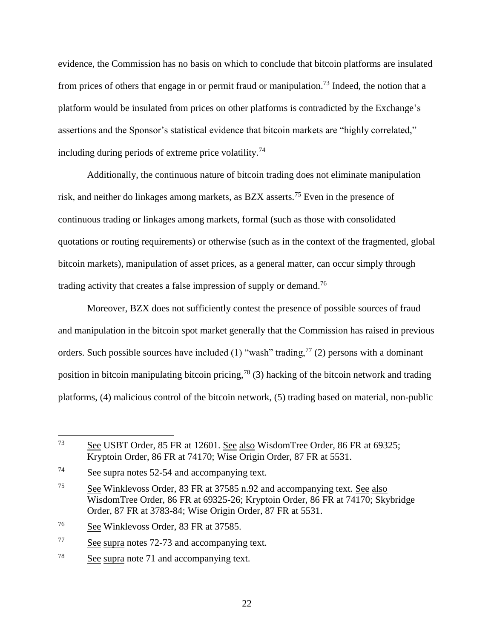evidence, the Commission has no basis on which to conclude that bitcoin platforms are insulated from prices of others that engage in or permit fraud or manipulation.<sup>73</sup> Indeed, the notion that a platform would be insulated from prices on other platforms is contradicted by the Exchange's assertions and the Sponsor's statistical evidence that bitcoin markets are "highly correlated," including during periods of extreme price volatility.<sup>74</sup>

Additionally, the continuous nature of bitcoin trading does not eliminate manipulation risk, and neither do linkages among markets, as BZX asserts.<sup>75</sup> Even in the presence of continuous trading or linkages among markets, formal (such as those with consolidated quotations or routing requirements) or otherwise (such as in the context of the fragmented, global bitcoin markets), manipulation of asset prices, as a general matter, can occur simply through trading activity that creates a false impression of supply or demand.<sup>76</sup>

Moreover, BZX does not sufficiently contest the presence of possible sources of fraud and manipulation in the bitcoin spot market generally that the Commission has raised in previous orders. Such possible sources have included (1) "wash" trading,  $77$  (2) persons with a dominant position in bitcoin manipulating bitcoin pricing,<sup>78</sup> (3) hacking of the bitcoin network and trading platforms, (4) malicious control of the bitcoin network, (5) trading based on material, non-public

 $\overline{a}$ 

<sup>77</sup> See supra notes 72-73 and accompanying text.

<sup>73</sup> See USBT Order, 85 FR at 12601. See also WisdomTree Order, 86 FR at 69325; Kryptoin Order, 86 FR at 74170; Wise Origin Order, 87 FR at 5531.

<sup>74</sup> See supra notes 52-54 and accompanying text.

<sup>75</sup> See Winklevoss Order, 83 FR at 37585 n.92 and accompanying text. See also WisdomTree Order, 86 FR at 69325-26; Kryptoin Order, 86 FR at 74170; Skybridge Order, 87 FR at 3783-84; Wise Origin Order, 87 FR at 5531.

<sup>76</sup> See Winklevoss Order, 83 FR at 37585.

<sup>78</sup> See supra note 71 and accompanying text.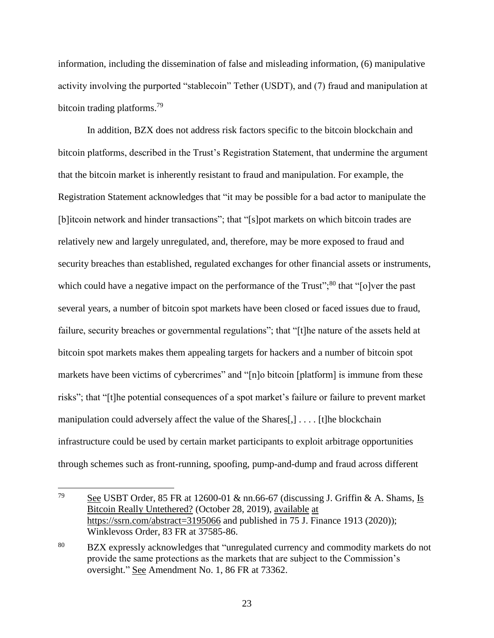information, including the dissemination of false and misleading information, (6) manipulative activity involving the purported "stablecoin" Tether (USDT), and (7) fraud and manipulation at bitcoin trading platforms.<sup>79</sup>

In addition, BZX does not address risk factors specific to the bitcoin blockchain and bitcoin platforms, described in the Trust's Registration Statement, that undermine the argument that the bitcoin market is inherently resistant to fraud and manipulation. For example, the Registration Statement acknowledges that "it may be possible for a bad actor to manipulate the [b]itcoin network and hinder transactions"; that "[s]pot markets on which bitcoin trades are relatively new and largely unregulated, and, therefore, may be more exposed to fraud and security breaches than established, regulated exchanges for other financial assets or instruments, which could have a negative impact on the performance of the Trust";<sup>80</sup> that " $\lceil o \rceil$  ver the past several years, a number of bitcoin spot markets have been closed or faced issues due to fraud, failure, security breaches or governmental regulations"; that "[t]he nature of the assets held at bitcoin spot markets makes them appealing targets for hackers and a number of bitcoin spot markets have been victims of cybercrimes" and "[n]o bitcoin [platform] is immune from these risks"; that "[t]he potential consequences of a spot market's failure or failure to prevent market manipulation could adversely affect the value of the Shares[,] . . . . [t]he blockchain infrastructure could be used by certain market participants to exploit arbitrage opportunities through schemes such as front-running, spoofing, pump-and-dump and fraud across different

<sup>79</sup> See USBT Order, 85 FR at 12600-01  $\&$  nn.66-67 (discussing J. Griffin  $\&$  A. Shams, Is Bitcoin Really Untethered? (October 28, 2019), available at https://ssrn.com/abstract=3195066 and published in 75 J. Finance 1913 (2020)); Winklevoss Order, 83 FR at 37585-86.

<sup>80</sup> BZX expressly acknowledges that "unregulated currency and commodity markets do not provide the same protections as the markets that are subject to the Commission's oversight." See Amendment No. 1, 86 FR at 73362.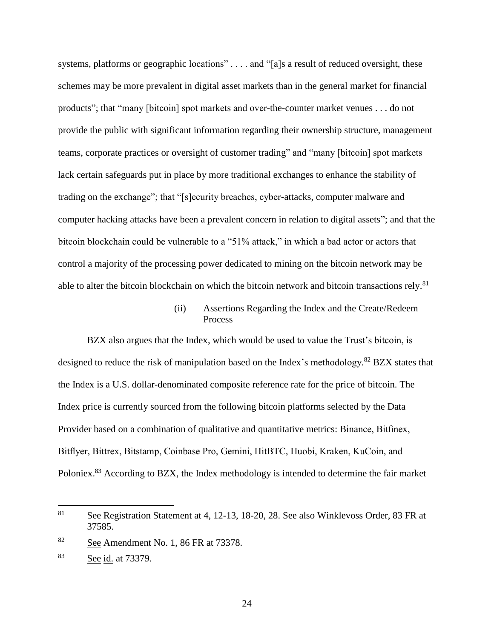systems, platforms or geographic locations" . . . . and "[a]s a result of reduced oversight, these schemes may be more prevalent in digital asset markets than in the general market for financial products"; that "many [bitcoin] spot markets and over-the-counter market venues . . . do not provide the public with significant information regarding their ownership structure, management teams, corporate practices or oversight of customer trading" and "many [bitcoin] spot markets lack certain safeguards put in place by more traditional exchanges to enhance the stability of trading on the exchange"; that "[s]ecurity breaches, cyber-attacks, computer malware and computer hacking attacks have been a prevalent concern in relation to digital assets"; and that the bitcoin blockchain could be vulnerable to a "51% attack," in which a bad actor or actors that control a majority of the processing power dedicated to mining on the bitcoin network may be able to alter the bitcoin blockchain on which the bitcoin network and bitcoin transactions rely.<sup>81</sup>

### (ii) Assertions Regarding the Index and the Create/Redeem Process

BZX also argues that the Index, which would be used to value the Trust's bitcoin, is designed to reduce the risk of manipulation based on the Index's methodology.<sup>82</sup> BZX states that the Index is a U.S. dollar-denominated composite reference rate for the price of bitcoin. The Index price is currently sourced from the following bitcoin platforms selected by the Data Provider based on a combination of qualitative and quantitative metrics: Binance, Bitfinex, Bitflyer, Bittrex, Bitstamp, Coinbase Pro, Gemini, HitBTC, Huobi, Kraken, KuCoin, and Poloniex.<sup>83</sup> According to BZX, the Index methodology is intended to determine the fair market

 $\overline{a}$ 

24

<sup>&</sup>lt;sup>81</sup> See Registration Statement at 4, 12-13, 18-20, 28. See also Winklevoss Order, 83 FR at 37585.

<sup>82</sup> See Amendment No. 1, 86 FR at 73378.

<sup>83</sup> See id. at 73379.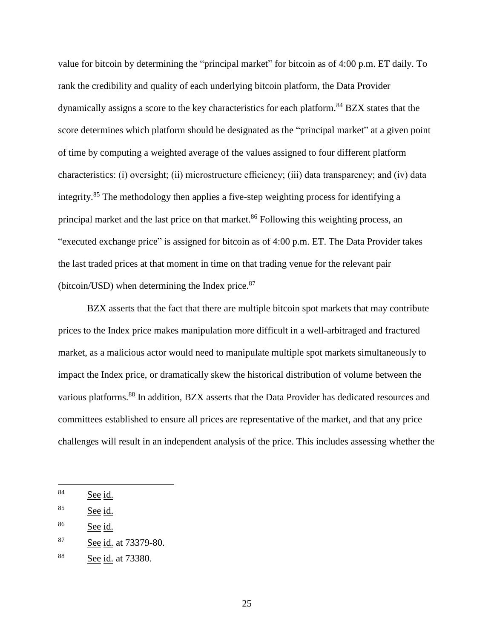value for bitcoin by determining the "principal market" for bitcoin as of 4:00 p.m. ET daily. To rank the credibility and quality of each underlying bitcoin platform, the Data Provider dynamically assigns a score to the key characteristics for each platform.<sup>84</sup> BZX states that the score determines which platform should be designated as the "principal market" at a given point of time by computing a weighted average of the values assigned to four different platform characteristics: (i) oversight; (ii) microstructure efficiency; (iii) data transparency; and (iv) data integrity.<sup>85</sup> The methodology then applies a five-step weighting process for identifying a principal market and the last price on that market.<sup>86</sup> Following this weighting process, an "executed exchange price" is assigned for bitcoin as of 4:00 p.m. ET. The Data Provider takes the last traded prices at that moment in time on that trading venue for the relevant pair (bitcoin/USD) when determining the Index price.<sup>87</sup>

BZX asserts that the fact that there are multiple bitcoin spot markets that may contribute prices to the Index price makes manipulation more difficult in a well-arbitraged and fractured market, as a malicious actor would need to manipulate multiple spot markets simultaneously to impact the Index price, or dramatically skew the historical distribution of volume between the various platforms.<sup>88</sup> In addition, BZX asserts that the Data Provider has dedicated resources and committees established to ensure all prices are representative of the market, and that any price challenges will result in an independent analysis of the price. This includes assessing whether the

<sup>84</sup> See id.

<sup>85</sup> See id.

 $86$  See id.

<sup>87</sup> See id. at 73379-80.

<sup>88</sup> See id. at 73380.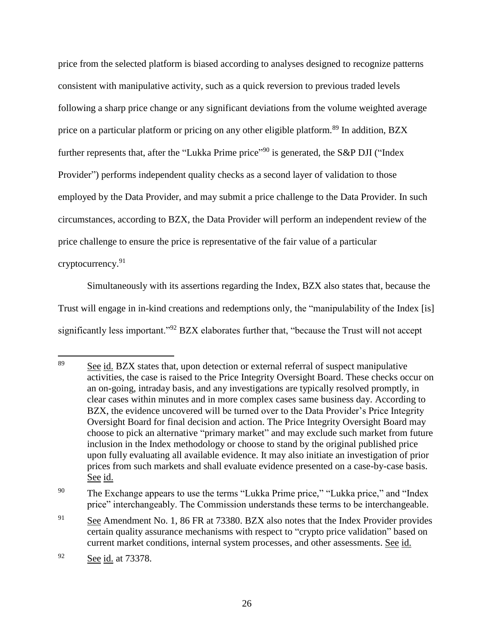price from the selected platform is biased according to analyses designed to recognize patterns consistent with manipulative activity, such as a quick reversion to previous traded levels following a sharp price change or any significant deviations from the volume weighted average price on a particular platform or pricing on any other eligible platform.<sup>89</sup> In addition, BZX further represents that, after the "Lukka Prime price"<sup>90</sup> is generated, the S&P DJI ("Index Provider") performs independent quality checks as a second layer of validation to those employed by the Data Provider, and may submit a price challenge to the Data Provider. In such circumstances, according to BZX, the Data Provider will perform an independent review of the price challenge to ensure the price is representative of the fair value of a particular cryptocurrency.<sup>91</sup>

Simultaneously with its assertions regarding the Index, BZX also states that, because the Trust will engage in in-kind creations and redemptions only, the "manipulability of the Index [is] significantly less important."<sup>92</sup> BZX elaborates further that, "because the Trust will not accept

<sup>89</sup> See id. BZX states that, upon detection or external referral of suspect manipulative activities, the case is raised to the Price Integrity Oversight Board. These checks occur on an on-going, intraday basis, and any investigations are typically resolved promptly, in clear cases within minutes and in more complex cases same business day. According to BZX, the evidence uncovered will be turned over to the Data Provider's Price Integrity Oversight Board for final decision and action. The Price Integrity Oversight Board may choose to pick an alternative "primary market" and may exclude such market from future inclusion in the Index methodology or choose to stand by the original published price upon fully evaluating all available evidence. It may also initiate an investigation of prior prices from such markets and shall evaluate evidence presented on a case-by-case basis. See id.

<sup>&</sup>lt;sup>90</sup> The Exchange appears to use the terms "Lukka Prime price," "Lukka price," and "Index price" interchangeably. The Commission understands these terms to be interchangeable.

<sup>&</sup>lt;sup>91</sup> See Amendment No. 1, 86 FR at 73380. BZX also notes that the Index Provider provides certain quality assurance mechanisms with respect to "crypto price validation" based on current market conditions, internal system processes, and other assessments. See id.

<sup>92</sup> See id. at 73378.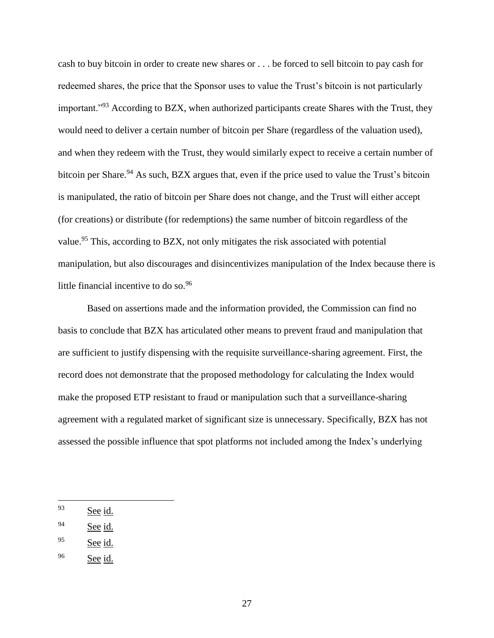cash to buy bitcoin in order to create new shares or . . . be forced to sell bitcoin to pay cash for redeemed shares, the price that the Sponsor uses to value the Trust's bitcoin is not particularly important."<sup>93</sup> According to BZX, when authorized participants create Shares with the Trust, they would need to deliver a certain number of bitcoin per Share (regardless of the valuation used), and when they redeem with the Trust, they would similarly expect to receive a certain number of bitcoin per Share.<sup>94</sup> As such, BZX argues that, even if the price used to value the Trust's bitcoin is manipulated, the ratio of bitcoin per Share does not change, and the Trust will either accept (for creations) or distribute (for redemptions) the same number of bitcoin regardless of the value.<sup>95</sup> This, according to BZX, not only mitigates the risk associated with potential manipulation, but also discourages and disincentivizes manipulation of the Index because there is little financial incentive to do so.<sup>96</sup>

Based on assertions made and the information provided, the Commission can find no basis to conclude that BZX has articulated other means to prevent fraud and manipulation that are sufficient to justify dispensing with the requisite surveillance-sharing agreement. First, the record does not demonstrate that the proposed methodology for calculating the Index would make the proposed ETP resistant to fraud or manipulation such that a surveillance-sharing agreement with a regulated market of significant size is unnecessary. Specifically, BZX has not assessed the possible influence that spot platforms not included among the Index's underlying

<sup>93</sup> See id.

 $94$  See id.

<sup>95</sup> See id.

 $96$  See id.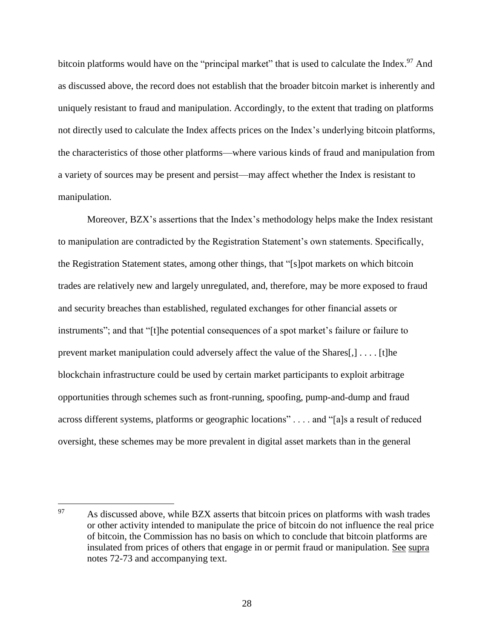bitcoin platforms would have on the "principal market" that is used to calculate the Index.<sup>97</sup> And as discussed above, the record does not establish that the broader bitcoin market is inherently and uniquely resistant to fraud and manipulation. Accordingly, to the extent that trading on platforms not directly used to calculate the Index affects prices on the Index's underlying bitcoin platforms, the characteristics of those other platforms⸺where various kinds of fraud and manipulation from a variety of sources may be present and persist⸺may affect whether the Index is resistant to manipulation.

Moreover, BZX's assertions that the Index's methodology helps make the Index resistant to manipulation are contradicted by the Registration Statement's own statements. Specifically, the Registration Statement states, among other things, that "[s]pot markets on which bitcoin trades are relatively new and largely unregulated, and, therefore, may be more exposed to fraud and security breaches than established, regulated exchanges for other financial assets or instruments"; and that "[t]he potential consequences of a spot market's failure or failure to prevent market manipulation could adversely affect the value of the Shares[,] . . . . [t]he blockchain infrastructure could be used by certain market participants to exploit arbitrage opportunities through schemes such as front-running, spoofing, pump-and-dump and fraud across different systems, platforms or geographic locations" . . . . and "[a]s a result of reduced oversight, these schemes may be more prevalent in digital asset markets than in the general

 $\overline{a}$ <sup>97</sup> As discussed above, while BZX asserts that bitcoin prices on platforms with wash trades or other activity intended to manipulate the price of bitcoin do not influence the real price of bitcoin, the Commission has no basis on which to conclude that bitcoin platforms are insulated from prices of others that engage in or permit fraud or manipulation. See supra notes 72-73 and accompanying text.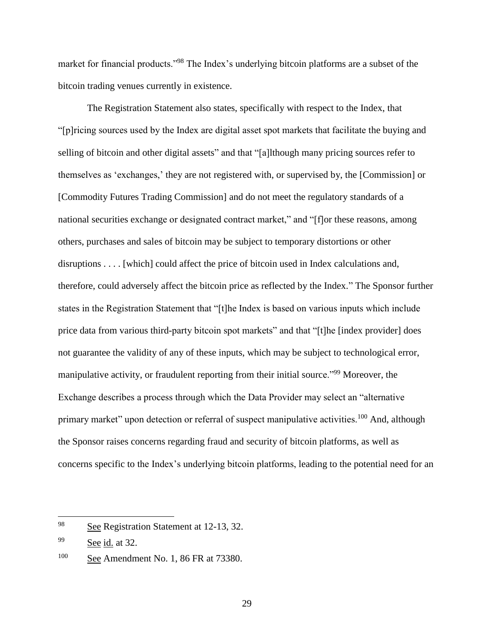market for financial products."<sup>98</sup> The Index's underlying bitcoin platforms are a subset of the bitcoin trading venues currently in existence.

The Registration Statement also states, specifically with respect to the Index, that "[p]ricing sources used by the Index are digital asset spot markets that facilitate the buying and selling of bitcoin and other digital assets" and that "[a]lthough many pricing sources refer to themselves as 'exchanges,' they are not registered with, or supervised by, the [Commission] or [Commodity Futures Trading Commission] and do not meet the regulatory standards of a national securities exchange or designated contract market," and "[f]or these reasons, among others, purchases and sales of bitcoin may be subject to temporary distortions or other disruptions . . . . [which] could affect the price of bitcoin used in Index calculations and, therefore, could adversely affect the bitcoin price as reflected by the Index." The Sponsor further states in the Registration Statement that "[t]he Index is based on various inputs which include price data from various third-party bitcoin spot markets" and that "[t]he [index provider] does not guarantee the validity of any of these inputs, which may be subject to technological error, manipulative activity, or fraudulent reporting from their initial source."<sup>99</sup> Moreover, the Exchange describes a process through which the Data Provider may select an "alternative primary market" upon detection or referral of suspect manipulative activities.<sup>100</sup> And, although the Sponsor raises concerns regarding fraud and security of bitcoin platforms, as well as concerns specific to the Index's underlying bitcoin platforms, leading to the potential need for an

<sup>98</sup> See Registration Statement at 12-13, 32.

<sup>99</sup> See id. at 32.

<sup>&</sup>lt;sup>100</sup> See Amendment No. 1, 86 FR at 73380.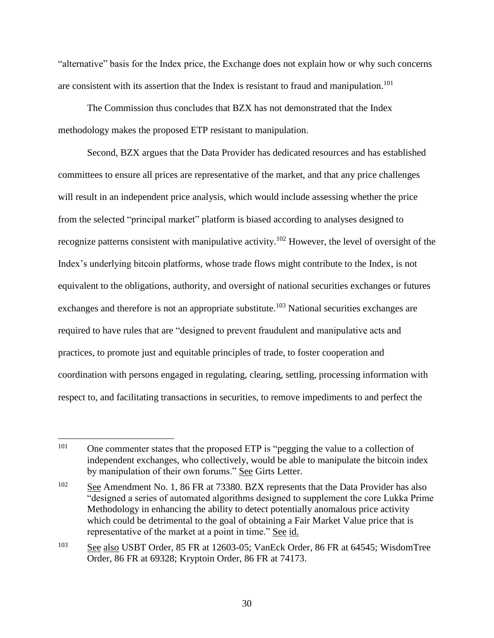"alternative" basis for the Index price, the Exchange does not explain how or why such concerns are consistent with its assertion that the Index is resistant to fraud and manipulation.<sup>101</sup>

The Commission thus concludes that BZX has not demonstrated that the Index methodology makes the proposed ETP resistant to manipulation.

Second, BZX argues that the Data Provider has dedicated resources and has established committees to ensure all prices are representative of the market, and that any price challenges will result in an independent price analysis, which would include assessing whether the price from the selected "principal market" platform is biased according to analyses designed to recognize patterns consistent with manipulative activity.<sup>102</sup> However, the level of oversight of the Index's underlying bitcoin platforms, whose trade flows might contribute to the Index, is not equivalent to the obligations, authority, and oversight of national securities exchanges or futures exchanges and therefore is not an appropriate substitute.<sup>103</sup> National securities exchanges are required to have rules that are "designed to prevent fraudulent and manipulative acts and practices, to promote just and equitable principles of trade, to foster cooperation and coordination with persons engaged in regulating, clearing, settling, processing information with respect to, and facilitating transactions in securities, to remove impediments to and perfect the

<sup>101</sup> <sup>101</sup> One commenter states that the proposed ETP is "pegging the value to a collection of independent exchanges, who collectively, would be able to manipulate the bitcoin index by manipulation of their own forums." See Girts Letter.

<sup>&</sup>lt;sup>102</sup> See Amendment No. 1, 86 FR at 73380. BZX represents that the Data Provider has also "designed a series of automated algorithms designed to supplement the core Lukka Prime Methodology in enhancing the ability to detect potentially anomalous price activity which could be detrimental to the goal of obtaining a Fair Market Value price that is representative of the market at a point in time." See id.

<sup>103</sup> See also USBT Order, 85 FR at 12603-05; VanEck Order, 86 FR at 64545; WisdomTree Order, 86 FR at 69328; Kryptoin Order, 86 FR at 74173.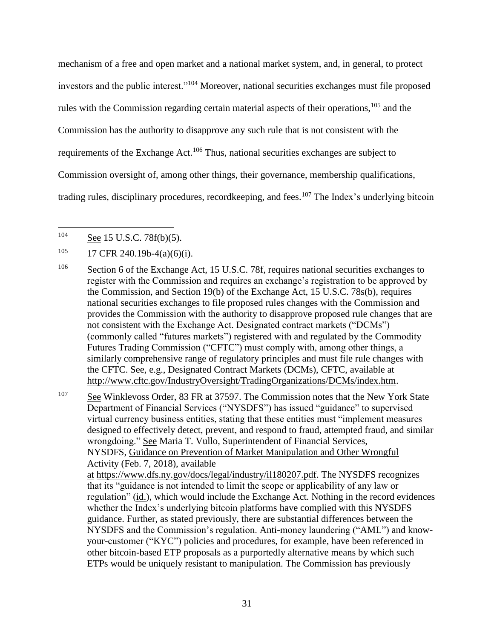mechanism of a free and open market and a national market system, and, in general, to protect investors and the public interest."<sup>104</sup> Moreover, national securities exchanges must file proposed rules with the Commission regarding certain material aspects of their operations,<sup>105</sup> and the Commission has the authority to disapprove any such rule that is not consistent with the requirements of the Exchange Act.<sup>106</sup> Thus, national securities exchanges are subject to Commission oversight of, among other things, their governance, membership qualifications, trading rules, disciplinary procedures, recordkeeping, and fees.<sup>107</sup> The Index's underlying bitcoin

 $\overline{a}$ 

<sup>107</sup> See Winklevoss Order, 83 FR at 37597. The Commission notes that the New York State Department of Financial Services ("NYSDFS") has issued "guidance" to supervised virtual currency business entities, stating that these entities must "implement measures designed to effectively detect, prevent, and respond to fraud, attempted fraud, and similar wrongdoing." See Maria T. Vullo, Superintendent of Financial Services, NYSDFS, Guidance on Prevention of Market Manipulation and Other Wrongful Activity (Feb. 7, 2018), available at https://www.dfs.ny.gov/docs/legal/industry/il180207.pdf. The NYSDFS recognizes that its "guidance is not intended to limit the scope or applicability of any law or regulation" (id.), which would include the Exchange Act. Nothing in the record evidences whether the Index's underlying bitcoin platforms have complied with this NYSDFS guidance. Further, as stated previously, there are substantial differences between the NYSDFS and the Commission's regulation. Anti-money laundering ("AML") and knowyour-customer ("KYC") policies and procedures, for example, have been referenced in other bitcoin-based ETP proposals as a purportedly alternative means by which such ETPs would be uniquely resistant to manipulation. The Commission has previously

 $104$  See 15 U.S.C. 78f(b)(5).

 $105$  17 CFR 240.19b-4(a)(6)(i).

<sup>&</sup>lt;sup>106</sup> Section 6 of the Exchange Act, 15 U.S.C. 78f, requires national securities exchanges to register with the Commission and requires an exchange's registration to be approved by the Commission, and Section 19(b) of the Exchange Act, 15 U.S.C. 78s(b), requires national securities exchanges to file proposed rules changes with the Commission and provides the Commission with the authority to disapprove proposed rule changes that are not consistent with the Exchange Act. Designated contract markets ("DCMs") (commonly called "futures markets") registered with and regulated by the Commodity Futures Trading Commission ("CFTC") must comply with, among other things, a similarly comprehensive range of regulatory principles and must file rule changes with the CFTC. See, e.g., Designated Contract Markets (DCMs), CFTC, available at http://www.cftc.gov/IndustryOversight/TradingOrganizations/DCMs/index.htm.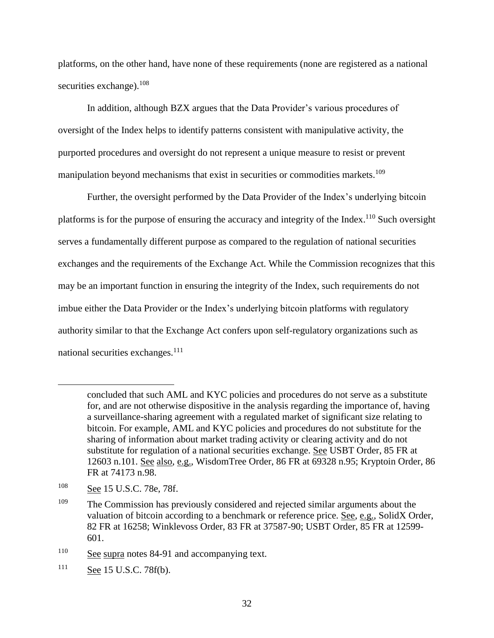platforms, on the other hand, have none of these requirements (none are registered as a national securities exchange).<sup>108</sup>

In addition, although BZX argues that the Data Provider's various procedures of oversight of the Index helps to identify patterns consistent with manipulative activity, the purported procedures and oversight do not represent a unique measure to resist or prevent manipulation beyond mechanisms that exist in securities or commodities markets.<sup>109</sup>

Further, the oversight performed by the Data Provider of the Index's underlying bitcoin platforms is for the purpose of ensuring the accuracy and integrity of the Index.<sup>110</sup> Such oversight serves a fundamentally different purpose as compared to the regulation of national securities exchanges and the requirements of the Exchange Act. While the Commission recognizes that this may be an important function in ensuring the integrity of the Index, such requirements do not imbue either the Data Provider or the Index's underlying bitcoin platforms with regulatory authority similar to that the Exchange Act confers upon self-regulatory organizations such as national securities exchanges.<sup>111</sup>

concluded that such AML and KYC policies and procedures do not serve as a substitute for, and are not otherwise dispositive in the analysis regarding the importance of, having a surveillance-sharing agreement with a regulated market of significant size relating to bitcoin. For example, AML and KYC policies and procedures do not substitute for the sharing of information about market trading activity or clearing activity and do not substitute for regulation of a national securities exchange. See USBT Order, 85 FR at 12603 n.101. See also, e.g., WisdomTree Order, 86 FR at 69328 n.95; Kryptoin Order, 86 FR at 74173 n.98.

<sup>108</sup> See 15 U.S.C. 78e, 78f.

<sup>&</sup>lt;sup>109</sup> The Commission has previously considered and rejected similar arguments about the valuation of bitcoin according to a benchmark or reference price. See, e.g., SolidX Order, 82 FR at 16258; Winklevoss Order, 83 FR at 37587-90; USBT Order, 85 FR at 12599- 601.

<sup>&</sup>lt;sup>110</sup> See supra notes 84-91 and accompanying text.

 $111$  See 15 U.S.C. 78f(b).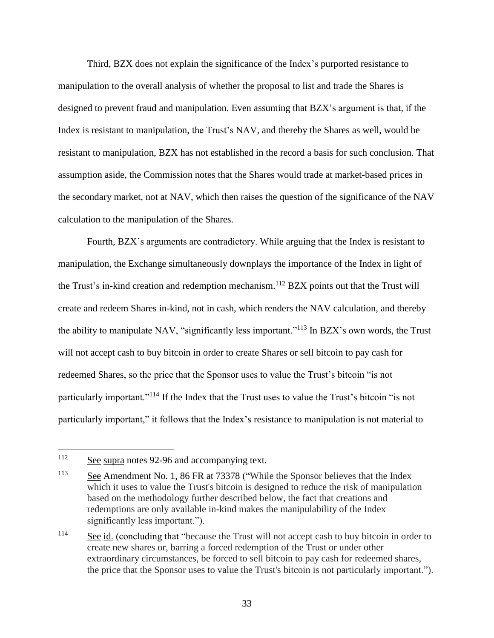Third, BZX does not explain the significance of the Index's purported resistance to manipulation to the overall analysis of whether the proposal to list and trade the Shares is designed to prevent fraud and manipulation. Even assuming that BZX's argument is that, if the Index is resistant to manipulation, the Trust's NAV, and thereby the Shares as well, would be resistant to manipulation, BZX has not established in the record a basis for such conclusion. That assumption aside, the Commission notes that the Shares would trade at market-based prices in the secondary market, not at NAV, which then raises the question of the significance of the NAV calculation to the manipulation of the Shares.

Fourth, BZX's arguments are contradictory. While arguing that the Index is resistant to manipulation, the Exchange simultaneously downplays the importance of the Index in light of the Trust's in-kind creation and redemption mechanism.<sup>112</sup> BZX points out that the Trust will create and redeem Shares in-kind, not in cash, which renders the NAV calculation, and thereby the ability to manipulate NAV, "significantly less important."<sup>113</sup> In BZX's own words, the Trust will not accept cash to buy bitcoin in order to create Shares or sell bitcoin to pay cash for redeemed Shares, so the price that the Sponsor uses to value the Trust's bitcoin "is not particularly important."<sup>114</sup> If the Index that the Trust uses to value the Trust's bitcoin "is not particularly important," it follows that the Index's resistance to manipulation is not material to

<sup>&</sup>lt;sup>112</sup> See supra notes 92-96 and accompanying text.

<sup>&</sup>lt;sup>113</sup> See Amendment No. 1, 86 FR at 73378 ("While the Sponsor believes that the Index which it uses to value the Trust's bitcoin is designed to reduce the risk of manipulation based on the methodology further described below, the fact that creations and redemptions are only available in-kind makes the manipulability of the Index significantly less important.").

<sup>&</sup>lt;sup>114</sup> See id. (concluding that "because the Trust will not accept cash to buy bitcoin in order to create new shares or, barring a forced redemption of the Trust or under other extraordinary circumstances, be forced to sell bitcoin to pay cash for redeemed shares, the price that the Sponsor uses to value the Trust's bitcoin is not particularly important.").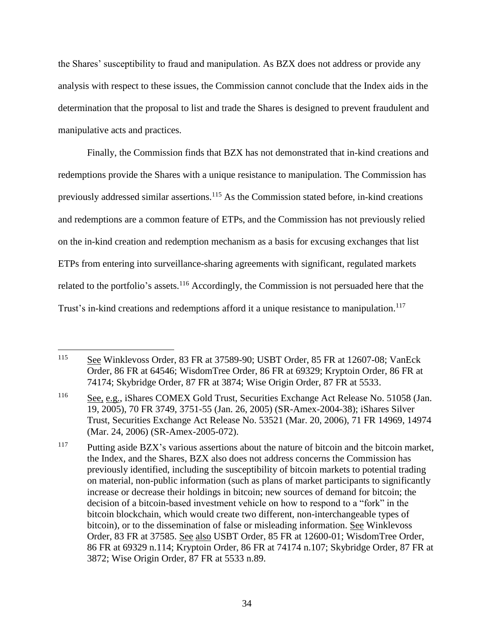the Shares' susceptibility to fraud and manipulation. As BZX does not address or provide any analysis with respect to these issues, the Commission cannot conclude that the Index aids in the determination that the proposal to list and trade the Shares is designed to prevent fraudulent and manipulative acts and practices.

Finally, the Commission finds that BZX has not demonstrated that in-kind creations and redemptions provide the Shares with a unique resistance to manipulation. The Commission has previously addressed similar assertions.<sup>115</sup> As the Commission stated before, in-kind creations and redemptions are a common feature of ETPs, and the Commission has not previously relied on the in-kind creation and redemption mechanism as a basis for excusing exchanges that list ETPs from entering into surveillance-sharing agreements with significant, regulated markets related to the portfolio's assets.<sup>116</sup> Accordingly, the Commission is not persuaded here that the Trust's in-kind creations and redemptions afford it a unique resistance to manipulation.<sup>117</sup>

 $\overline{a}$ <sup>115</sup> See Winklevoss Order, 83 FR at 37589-90; USBT Order, 85 FR at 12607-08; VanEck Order, 86 FR at 64546; WisdomTree Order, 86 FR at 69329; Kryptoin Order, 86 FR at 74174; Skybridge Order, 87 FR at 3874; Wise Origin Order, 87 FR at 5533.

<sup>116</sup> See, e.g., iShares COMEX Gold Trust, Securities Exchange Act Release No. 51058 (Jan. 19, 2005), 70 FR 3749, 3751-55 (Jan. 26, 2005) (SR-Amex-2004-38); iShares Silver Trust, Securities Exchange Act Release No. 53521 (Mar. 20, 2006), 71 FR 14969, 14974 (Mar. 24, 2006) (SR-Amex-2005-072).

<sup>&</sup>lt;sup>117</sup> Putting aside BZX's various assertions about the nature of bitcoin and the bitcoin market, the Index, and the Shares, BZX also does not address concerns the Commission has previously identified, including the susceptibility of bitcoin markets to potential trading on material, non-public information (such as plans of market participants to significantly increase or decrease their holdings in bitcoin; new sources of demand for bitcoin; the decision of a bitcoin-based investment vehicle on how to respond to a "fork" in the bitcoin blockchain, which would create two different, non-interchangeable types of bitcoin), or to the dissemination of false or misleading information. See Winklevoss Order, 83 FR at 37585. See also USBT Order, 85 FR at 12600-01; WisdomTree Order, 86 FR at 69329 n.114; Kryptoin Order, 86 FR at 74174 n.107; Skybridge Order, 87 FR at 3872; Wise Origin Order, 87 FR at 5533 n.89.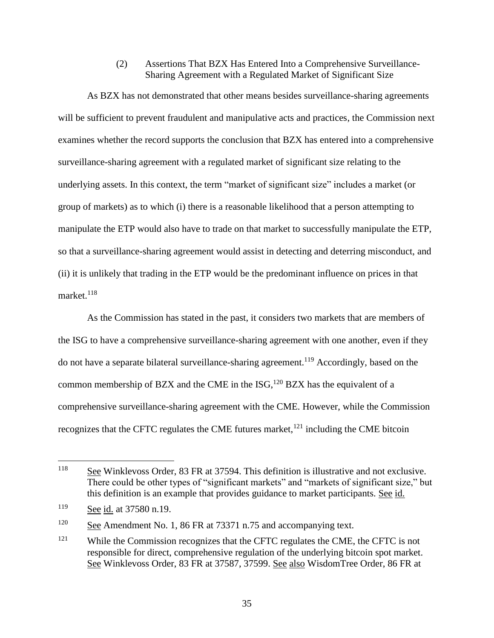(2) Assertions That BZX Has Entered Into a Comprehensive Surveillance-Sharing Agreement with a Regulated Market of Significant Size

As BZX has not demonstrated that other means besides surveillance-sharing agreements will be sufficient to prevent fraudulent and manipulative acts and practices, the Commission next examines whether the record supports the conclusion that BZX has entered into a comprehensive surveillance-sharing agreement with a regulated market of significant size relating to the underlying assets. In this context, the term "market of significant size" includes a market (or group of markets) as to which (i) there is a reasonable likelihood that a person attempting to manipulate the ETP would also have to trade on that market to successfully manipulate the ETP, so that a surveillance-sharing agreement would assist in detecting and deterring misconduct, and (ii) it is unlikely that trading in the ETP would be the predominant influence on prices in that market. $118$ 

As the Commission has stated in the past, it considers two markets that are members of the ISG to have a comprehensive surveillance-sharing agreement with one another, even if they do not have a separate bilateral surveillance-sharing agreement.<sup>119</sup> Accordingly, based on the common membership of BZX and the CME in the ISG, $^{120}$  BZX has the equivalent of a comprehensive surveillance-sharing agreement with the CME. However, while the Commission recognizes that the CFTC regulates the CME futures market, $^{121}$  including the CME bitcoin

 $\overline{a}$ 

 $120$  See Amendment No. 1, 86 FR at 73371 n.75 and accompanying text.

<sup>118</sup> See Winklevoss Order, 83 FR at 37594. This definition is illustrative and not exclusive. There could be other types of "significant markets" and "markets of significant size," but this definition is an example that provides guidance to market participants. See id.

<sup>119</sup> See id. at 37580 n.19.

<sup>&</sup>lt;sup>121</sup> While the Commission recognizes that the CFTC regulates the CME, the CFTC is not responsible for direct, comprehensive regulation of the underlying bitcoin spot market. See Winklevoss Order, 83 FR at 37587, 37599. See also WisdomTree Order, 86 FR at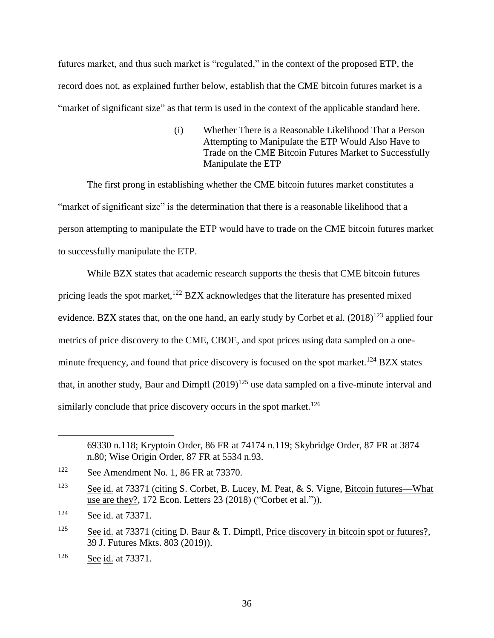futures market, and thus such market is "regulated," in the context of the proposed ETP, the record does not, as explained further below, establish that the CME bitcoin futures market is a "market of significant size" as that term is used in the context of the applicable standard here.

> (i) Whether There is a Reasonable Likelihood That a Person Attempting to Manipulate the ETP Would Also Have to Trade on the CME Bitcoin Futures Market to Successfully Manipulate the ETP

The first prong in establishing whether the CME bitcoin futures market constitutes a "market of significant size" is the determination that there is a reasonable likelihood that a person attempting to manipulate the ETP would have to trade on the CME bitcoin futures market to successfully manipulate the ETP.

While BZX states that academic research supports the thesis that CME bitcoin futures pricing leads the spot market,<sup>122</sup> BZX acknowledges that the literature has presented mixed evidence. BZX states that, on the one hand, an early study by Corbet et al.  $(2018)^{123}$  applied four metrics of price discovery to the CME, CBOE, and spot prices using data sampled on a oneminute frequency, and found that price discovery is focused on the spot market.<sup>124</sup> BZX states that, in another study, Baur and Dimpfl  $(2019)^{125}$  use data sampled on a five-minute interval and similarly conclude that price discovery occurs in the spot market.<sup>126</sup>

<sup>69330</sup> n.118; Kryptoin Order, 86 FR at 74174 n.119; Skybridge Order, 87 FR at 3874 n.80; Wise Origin Order, 87 FR at 5534 n.93.

<sup>&</sup>lt;sup>122</sup> See Amendment No. 1, 86 FR at 73370.

<sup>123</sup> See id. at 73371 (citing S. Corbet, B. Lucey, M. Peat, & S. Vigne, Bitcoin futures—What use are they?, 172 Econ. Letters 23 (2018) ("Corbet et al.")).

<sup>124</sup> See id. at 73371.

<sup>&</sup>lt;sup>125</sup> See id. at 73371 (citing D. Baur & T. Dimpfl, Price discovery in bitcoin spot or futures?, 39 J. Futures Mkts. 803 (2019)).

<sup>126</sup> See id. at 73371.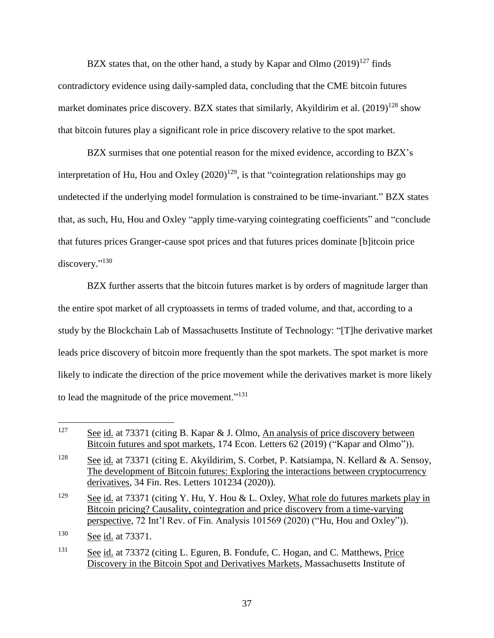BZX states that, on the other hand, a study by Kapar and Olmo  $(2019)^{127}$  finds contradictory evidence using daily-sampled data, concluding that the CME bitcoin futures market dominates price discovery. BZX states that similarly, Akyildirim et al.  $(2019)^{128}$  show that bitcoin futures play a significant role in price discovery relative to the spot market.

BZX surmises that one potential reason for the mixed evidence, according to BZX's interpretation of Hu, Hou and Oxley  $(2020)^{129}$ , is that "cointegration relationships may go undetected if the underlying model formulation is constrained to be time-invariant." BZX states that, as such, Hu, Hou and Oxley "apply time-varying cointegrating coefficients" and "conclude that futures prices Granger-cause spot prices and that futures prices dominate [b]itcoin price discovery."<sup>130</sup>

BZX further asserts that the bitcoin futures market is by orders of magnitude larger than the entire spot market of all cryptoassets in terms of traded volume, and that, according to a study by the Blockchain Lab of Massachusetts Institute of Technology: "[T]he derivative market leads price discovery of bitcoin more frequently than the spot markets. The spot market is more likely to indicate the direction of the price movement while the derivatives market is more likely to lead the magnitude of the price movement."<sup>131</sup>

<sup>&</sup>lt;sup>127</sup> See id. at 73371 (citing B. Kapar & J. Olmo, An analysis of price discovery between Bitcoin futures and spot markets, 174 Econ. Letters 62 (2019) ("Kapar and Olmo")).

<sup>&</sup>lt;sup>128</sup> See id. at 73371 (citing E. Akyildirim, S. Corbet, P. Katsiampa, N. Kellard & A. Sensoy, The development of Bitcoin futures: Exploring the interactions between cryptocurrency derivatives, 34 Fin. Res. Letters 101234 (2020)).

<sup>&</sup>lt;sup>129</sup> See id. at 73371 (citing Y. Hu, Y. Hou & L. Oxley, What role do futures markets play in Bitcoin pricing? Causality, cointegration and price discovery from a time-varying perspective, 72 Int'l Rev. of Fin. Analysis 101569 (2020) ("Hu, Hou and Oxley")).

<sup>130</sup> See id. at 73371.

<sup>&</sup>lt;sup>131</sup> See id. at 73372 (citing L. Eguren, B. Fondufe, C. Hogan, and C. Matthews, Price Discovery in the Bitcoin Spot and Derivatives Markets, Massachusetts Institute of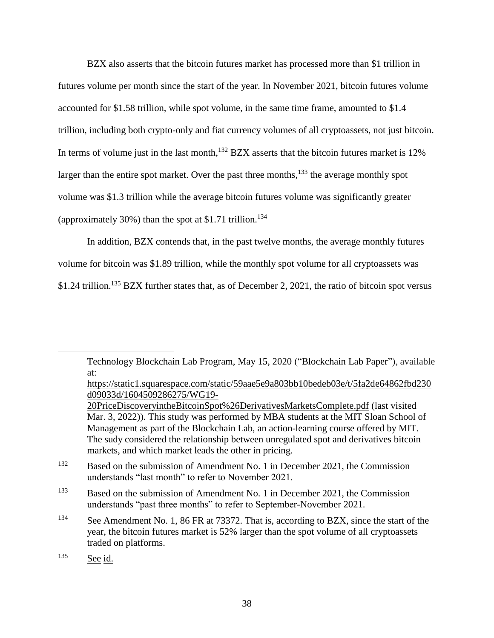BZX also asserts that the bitcoin futures market has processed more than \$1 trillion in futures volume per month since the start of the year. In November 2021, bitcoin futures volume accounted for \$1.58 trillion, while spot volume, in the same time frame, amounted to \$1.4 trillion, including both crypto-only and fiat currency volumes of all cryptoassets, not just bitcoin. In terms of volume just in the last month,  $^{132}$  BZX asserts that the bitcoin futures market is 12% larger than the entire spot market. Over the past three months,<sup>133</sup> the average monthly spot volume was \$1.3 trillion while the average bitcoin futures volume was significantly greater (approximately 30%) than the spot at \$1.71 trillion.<sup>134</sup>

In addition, BZX contends that, in the past twelve months, the average monthly futures

volume for bitcoin was \$1.89 trillion, while the monthly spot volume for all cryptoassets was

\$1.24 trillion.<sup>135</sup> BZX further states that, as of December 2, 2021, the ratio of bitcoin spot versus

Technology Blockchain Lab Program, May 15, 2020 ("Blockchain Lab Paper"), available at:

https://static1.squarespace.com/static/59aae5e9a803bb10bedeb03e/t/5fa2de64862fbd230 d09033d/1604509286275/WG19-

- <sup>132</sup> Based on the submission of Amendment No. 1 in December 2021, the Commission understands "last month" to refer to November 2021.
- <sup>133</sup> Based on the submission of Amendment No. 1 in December 2021, the Commission understands "past three months" to refer to September-November 2021.
- <sup>134</sup> See Amendment No. 1, 86 FR at 73372. That is, according to BZX, since the start of the year, the bitcoin futures market is 52% larger than the spot volume of all cryptoassets traded on platforms.

<sup>20</sup>PriceDiscoveryintheBitcoinSpot%26DerivativesMarketsComplete.pdf (last visited Mar. 3, 2022)). This study was performed by MBA students at the MIT Sloan School of Management as part of the Blockchain Lab, an action-learning course offered by MIT. The sudy considered the relationship between unregulated spot and derivatives bitcoin markets, and which market leads the other in pricing.

<sup>135</sup> See id.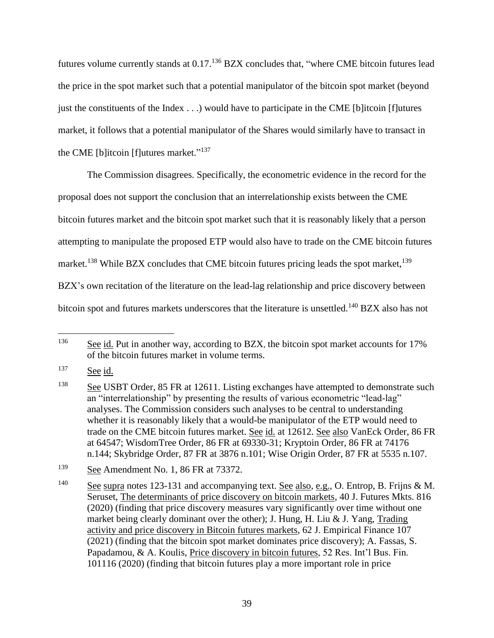futures volume currently stands at 0.17.<sup>136</sup> BZX concludes that, "where CME bitcoin futures lead the price in the spot market such that a potential manipulator of the bitcoin spot market (beyond just the constituents of the Index . . .) would have to participate in the CME [b]itcoin [f]utures market, it follows that a potential manipulator of the Shares would similarly have to transact in the CME [b]itcoin [f]utures market."<sup>137</sup>

The Commission disagrees. Specifically, the econometric evidence in the record for the proposal does not support the conclusion that an interrelationship exists between the CME bitcoin futures market and the bitcoin spot market such that it is reasonably likely that a person attempting to manipulate the proposed ETP would also have to trade on the CME bitcoin futures market.<sup>138</sup> While BZX concludes that CME bitcoin futures pricing leads the spot market,<sup>139</sup> BZX's own recitation of the literature on the lead-lag relationship and price discovery between bitcoin spot and futures markets underscores that the literature is unsettled.<sup>140</sup> BZX also has not

<sup>137</sup> See id.

 $\overline{a}$ <sup>136</sup> See id. Put in another way, according to BZX, the bitcoin spot market accounts for 17% of the bitcoin futures market in volume terms.

<sup>&</sup>lt;sup>138</sup> See USBT Order, 85 FR at 12611. Listing exchanges have attempted to demonstrate such an "interrelationship" by presenting the results of various econometric "lead-lag" analyses. The Commission considers such analyses to be central to understanding whether it is reasonably likely that a would-be manipulator of the ETP would need to trade on the CME bitcoin futures market. See id. at 12612. See also VanEck Order, 86 FR at 64547; WisdomTree Order, 86 FR at 69330-31; Kryptoin Order, 86 FR at 74176 n.144; Skybridge Order, 87 FR at 3876 n.101; Wise Origin Order, 87 FR at 5535 n.107.

<sup>139</sup> See Amendment No. 1, 86 FR at 73372.

<sup>&</sup>lt;sup>140</sup> See supra notes 123-131 and accompanying text. See also, e.g., O. Entrop, B. Frijns & M. Seruset, The determinants of price discovery on bitcoin markets, 40 J. Futures Mkts. 816 (2020) (finding that price discovery measures vary significantly over time without one market being clearly dominant over the other); J. Hung, H. Liu & J. Yang, Trading activity and price discovery in Bitcoin futures markets, 62 J. Empirical Finance 107 (2021) (finding that the bitcoin spot market dominates price discovery); A. Fassas, S. Papadamou, & A. Koulis, Price discovery in bitcoin futures, 52 Res. Int'l Bus. Fin. 101116 (2020) (finding that bitcoin futures play a more important role in price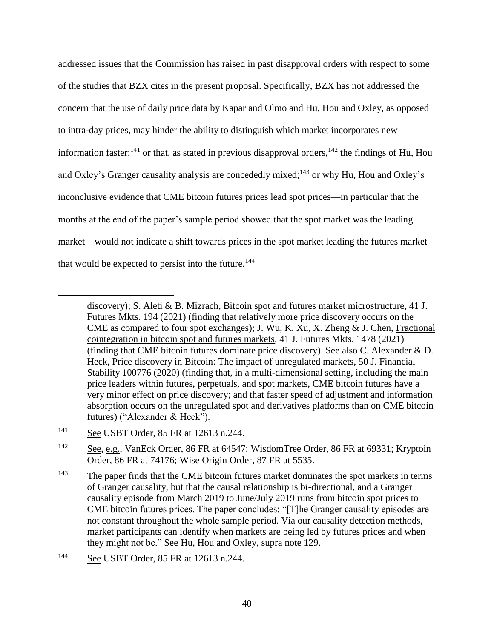addressed issues that the Commission has raised in past disapproval orders with respect to some of the studies that BZX cites in the present proposal. Specifically, BZX has not addressed the concern that the use of daily price data by Kapar and Olmo and Hu, Hou and Oxley, as opposed to intra-day prices, may hinder the ability to distinguish which market incorporates new information faster;<sup>141</sup> or that, as stated in previous disapproval orders,  $142$  the findings of Hu, Hou and Oxley's Granger causality analysis are concededly mixed;<sup>143</sup> or why Hu, Hou and Oxley's inconclusive evidence that CME bitcoin futures prices lead spot prices—in particular that the months at the end of the paper's sample period showed that the spot market was the leading market—would not indicate a shift towards prices in the spot market leading the futures market that would be expected to persist into the future.<sup>144</sup>

discovery); S. Aleti & B. Mizrach, Bitcoin spot and futures market microstructure, 41 J. Futures Mkts. 194 (2021) (finding that relatively more price discovery occurs on the CME as compared to four spot exchanges); J. Wu, K. Xu, X. Zheng & J. Chen, Fractional cointegration in bitcoin spot and futures markets, 41 J. Futures Mkts. 1478 (2021) (finding that CME bitcoin futures dominate price discovery). See also C. Alexander & D. Heck, Price discovery in Bitcoin: The impact of unregulated markets, 50 J. Financial Stability 100776 (2020) (finding that, in a multi-dimensional setting, including the main price leaders within futures, perpetuals, and spot markets, CME bitcoin futures have a very minor effect on price discovery; and that faster speed of adjustment and information absorption occurs on the unregulated spot and derivatives platforms than on CME bitcoin futures) ("Alexander & Heck").

<sup>141</sup> See USBT Order, 85 FR at 12613 n.244.

<sup>&</sup>lt;sup>142</sup> See, e.g., VanEck Order, 86 FR at 64547; WisdomTree Order, 86 FR at 69331; Kryptoin Order, 86 FR at 74176; Wise Origin Order, 87 FR at 5535.

<sup>&</sup>lt;sup>143</sup> The paper finds that the CME bitcoin futures market dominates the spot markets in terms of Granger causality, but that the causal relationship is bi-directional, and a Granger causality episode from March 2019 to June/July 2019 runs from bitcoin spot prices to CME bitcoin futures prices. The paper concludes: "[T]he Granger causality episodes are not constant throughout the whole sample period. Via our causality detection methods, market participants can identify when markets are being led by futures prices and when they might not be." See Hu, Hou and Oxley, supra note 129.

<sup>144</sup> See USBT Order, 85 FR at 12613 n.244.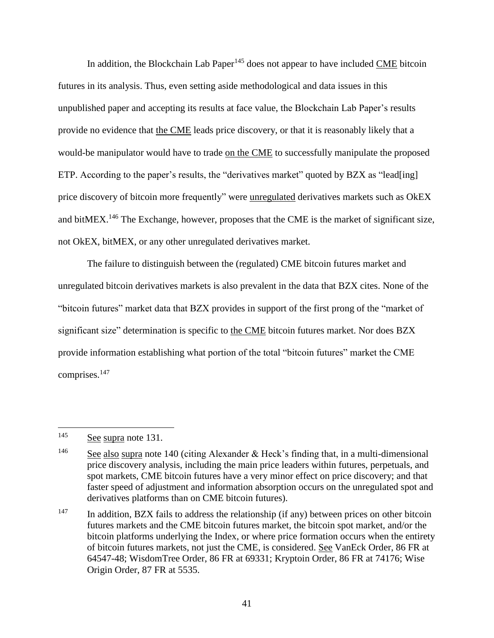In addition, the Blockchain Lab Paper<sup>145</sup> does not appear to have included  $\underline{\text{CME}}$  bitcoin futures in its analysis. Thus, even setting aside methodological and data issues in this unpublished paper and accepting its results at face value, the Blockchain Lab Paper's results provide no evidence that the CME leads price discovery, or that it is reasonably likely that a would-be manipulator would have to trade on the CME to successfully manipulate the proposed ETP. According to the paper's results, the "derivatives market" quoted by BZX as "lead[ing] price discovery of bitcoin more frequently" were unregulated derivatives markets such as OkEX and bit $MEX$ .<sup>146</sup> The Exchange, however, proposes that the CME is the market of significant size, not OkEX, bitMEX, or any other unregulated derivatives market.

The failure to distinguish between the (regulated) CME bitcoin futures market and unregulated bitcoin derivatives markets is also prevalent in the data that BZX cites. None of the "bitcoin futures" market data that BZX provides in support of the first prong of the "market of significant size" determination is specific to the CME bitcoin futures market. Nor does BZX provide information establishing what portion of the total "bitcoin futures" market the CME comprises.<sup>147</sup>

 $145$  See supra note 131.

<sup>&</sup>lt;sup>146</sup> See also supra note 140 (citing Alexander & Heck's finding that, in a multi-dimensional price discovery analysis, including the main price leaders within futures, perpetuals, and spot markets, CME bitcoin futures have a very minor effect on price discovery; and that faster speed of adjustment and information absorption occurs on the unregulated spot and derivatives platforms than on CME bitcoin futures).

 $147$  In addition, BZX fails to address the relationship (if any) between prices on other bitcoin futures markets and the CME bitcoin futures market, the bitcoin spot market, and/or the bitcoin platforms underlying the Index, or where price formation occurs when the entirety of bitcoin futures markets, not just the CME, is considered. See VanEck Order, 86 FR at 64547-48; WisdomTree Order, 86 FR at 69331; Kryptoin Order, 86 FR at 74176; Wise Origin Order, 87 FR at 5535.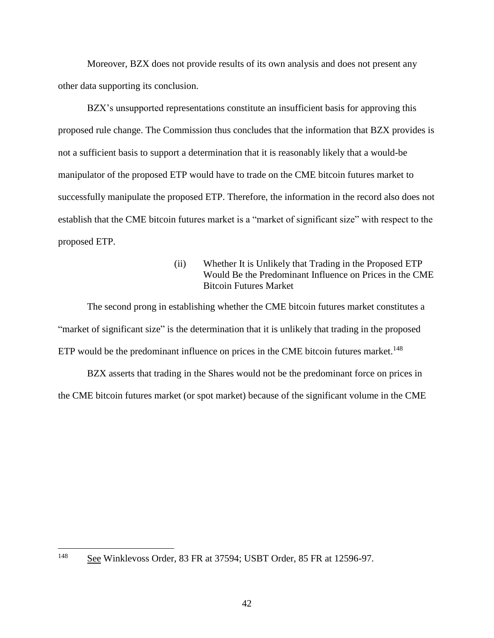Moreover, BZX does not provide results of its own analysis and does not present any other data supporting its conclusion.

BZX's unsupported representations constitute an insufficient basis for approving this proposed rule change. The Commission thus concludes that the information that BZX provides is not a sufficient basis to support a determination that it is reasonably likely that a would-be manipulator of the proposed ETP would have to trade on the CME bitcoin futures market to successfully manipulate the proposed ETP. Therefore, the information in the record also does not establish that the CME bitcoin futures market is a "market of significant size" with respect to the proposed ETP.

> (ii) Whether It is Unlikely that Trading in the Proposed ETP Would Be the Predominant Influence on Prices in the CME Bitcoin Futures Market

The second prong in establishing whether the CME bitcoin futures market constitutes a "market of significant size" is the determination that it is unlikely that trading in the proposed ETP would be the predominant influence on prices in the CME bitcoin futures market.<sup>148</sup>

BZX asserts that trading in the Shares would not be the predominant force on prices in the CME bitcoin futures market (or spot market) because of the significant volume in the CME

<sup>148</sup> See Winklevoss Order, 83 FR at 37594; USBT Order, 85 FR at 12596-97.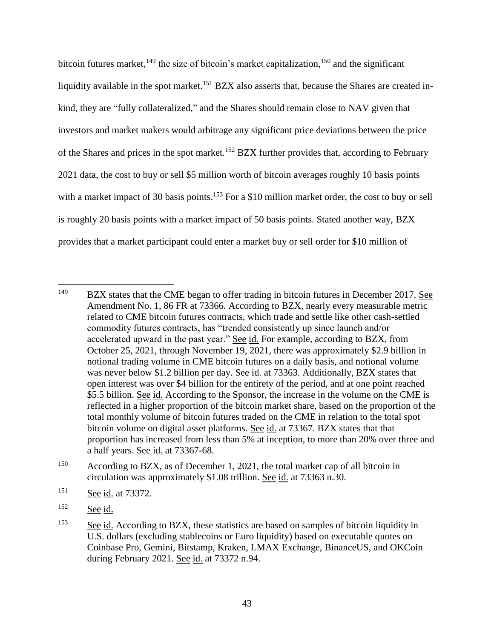bitcoin futures market,<sup>149</sup> the size of bitcoin's market capitalization,<sup>150</sup> and the significant liquidity available in the spot market.<sup>151</sup> BZX also asserts that, because the Shares are created inkind, they are "fully collateralized," and the Shares should remain close to NAV given that investors and market makers would arbitrage any significant price deviations between the price of the Shares and prices in the spot market.<sup>152</sup> BZX further provides that, according to February 2021 data, the cost to buy or sell \$5 million worth of bitcoin averages roughly 10 basis points with a market impact of 30 basis points.<sup>153</sup> For a \$10 million market order, the cost to buy or sell is roughly 20 basis points with a market impact of 50 basis points. Stated another way, BZX provides that a market participant could enter a market buy or sell order for \$10 million of

<sup>149</sup> <sup>149</sup> BZX states that the CME began to offer trading in bitcoin futures in December 2017. See Amendment No. 1, 86 FR at 73366. According to BZX, nearly every measurable metric related to CME bitcoin futures contracts, which trade and settle like other cash-settled commodity futures contracts, has "trended consistently up since launch and/or accelerated upward in the past year." See id. For example, according to BZX, from October 25, 2021, through November 19, 2021, there was approximately \$2.9 billion in notional trading volume in CME bitcoin futures on a daily basis, and notional volume was never below \$1.2 billion per day. See id. at 73363. Additionally, BZX states that open interest was over \$4 billion for the entirety of the period, and at one point reached \$5.5 billion. See id. According to the Sponsor, the increase in the volume on the CME is reflected in a higher proportion of the bitcoin market share, based on the proportion of the total monthly volume of bitcoin futures traded on the CME in relation to the total spot bitcoin volume on digital asset platforms. See id. at 73367. BZX states that that proportion has increased from less than 5% at inception, to more than 20% over three and a half years. See id. at 73367-68.

<sup>&</sup>lt;sup>150</sup> According to BZX, as of December 1, 2021, the total market cap of all bitcoin in circulation was approximately \$1.08 trillion. See id. at 73363 n.30.

 $151$  See id. at 73372.

<sup>152</sup> See id.

<sup>&</sup>lt;sup>153</sup> See id. According to BZX, these statistics are based on samples of bitcoin liquidity in U.S. dollars (excluding stablecoins or Euro liquidity) based on executable quotes on Coinbase Pro, Gemini, Bitstamp, Kraken, LMAX Exchange, BinanceUS, and OKCoin during February 2021. See id. at 73372 n.94.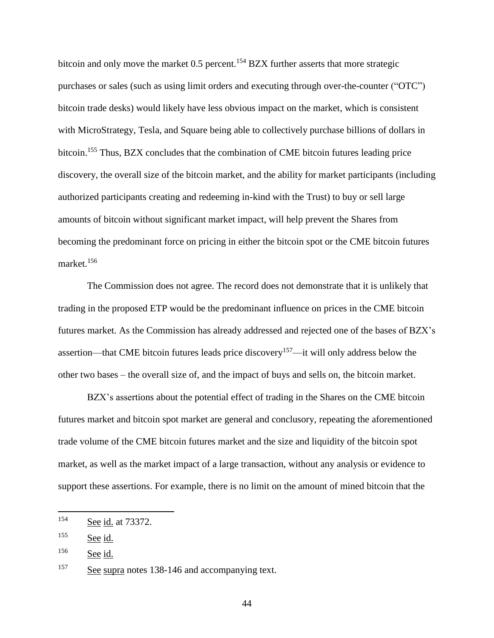bitcoin and only move the market 0.5 percent.<sup>154</sup> BZX further asserts that more strategic purchases or sales (such as using limit orders and executing through over-the-counter ("OTC") bitcoin trade desks) would likely have less obvious impact on the market, which is consistent with MicroStrategy, Tesla, and Square being able to collectively purchase billions of dollars in bitcoin.<sup>155</sup> Thus, BZX concludes that the combination of CME bitcoin futures leading price discovery, the overall size of the bitcoin market, and the ability for market participants (including authorized participants creating and redeeming in-kind with the Trust) to buy or sell large amounts of bitcoin without significant market impact, will help prevent the Shares from becoming the predominant force on pricing in either the bitcoin spot or the CME bitcoin futures market. 156

The Commission does not agree. The record does not demonstrate that it is unlikely that trading in the proposed ETP would be the predominant influence on prices in the CME bitcoin futures market. As the Commission has already addressed and rejected one of the bases of BZX's assertion—that CME bitcoin futures leads price discovery<sup>157</sup>—it will only address below the other two bases – the overall size of, and the impact of buys and sells on, the bitcoin market.

BZX's assertions about the potential effect of trading in the Shares on the CME bitcoin futures market and bitcoin spot market are general and conclusory, repeating the aforementioned trade volume of the CME bitcoin futures market and the size and liquidity of the bitcoin spot market, as well as the market impact of a large transaction, without any analysis or evidence to support these assertions. For example, there is no limit on the amount of mined bitcoin that the

<sup>154</sup> See id. at 73372.

 $155$  See id.

 $156$  See id.

<sup>&</sup>lt;sup>157</sup> See supra notes 138-146 and accompanying text.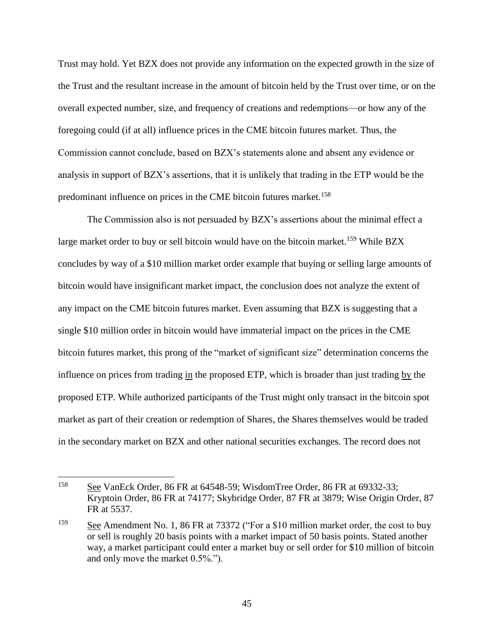Trust may hold. Yet BZX does not provide any information on the expected growth in the size of the Trust and the resultant increase in the amount of bitcoin held by the Trust over time, or on the overall expected number, size, and frequency of creations and redemptions—or how any of the foregoing could (if at all) influence prices in the CME bitcoin futures market. Thus, the Commission cannot conclude, based on BZX's statements alone and absent any evidence or analysis in support of BZX's assertions, that it is unlikely that trading in the ETP would be the predominant influence on prices in the CME bitcoin futures market.<sup>158</sup>

The Commission also is not persuaded by BZX's assertions about the minimal effect a large market order to buy or sell bitcoin would have on the bitcoin market.<sup>159</sup> While BZX concludes by way of a \$10 million market order example that buying or selling large amounts of bitcoin would have insignificant market impact, the conclusion does not analyze the extent of any impact on the CME bitcoin futures market. Even assuming that BZX is suggesting that a single \$10 million order in bitcoin would have immaterial impact on the prices in the CME bitcoin futures market, this prong of the "market of significant size" determination concerns the influence on prices from trading in the proposed ETP, which is broader than just trading by the proposed ETP. While authorized participants of the Trust might only transact in the bitcoin spot market as part of their creation or redemption of Shares, the Shares themselves would be traded in the secondary market on BZX and other national securities exchanges. The record does not

<sup>158</sup> <sup>158</sup> See VanEck Order, 86 FR at 64548-59; WisdomTree Order, 86 FR at 69332-33; Kryptoin Order, 86 FR at 74177; Skybridge Order, 87 FR at 3879; Wise Origin Order, 87 FR at 5537.

<sup>&</sup>lt;sup>159</sup> See Amendment No. 1, 86 FR at 73372 ("For a \$10 million market order, the cost to buy or sell is roughly 20 basis points with a market impact of 50 basis points. Stated another way, a market participant could enter a market buy or sell order for \$10 million of bitcoin and only move the market 0.5%.").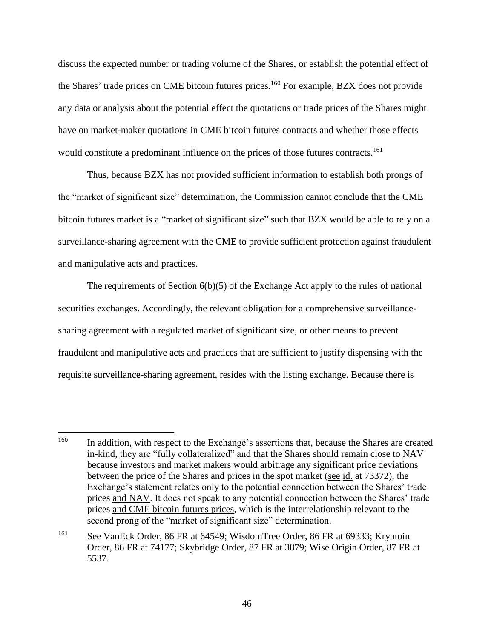discuss the expected number or trading volume of the Shares, or establish the potential effect of the Shares' trade prices on CME bitcoin futures prices.<sup>160</sup> For example, BZX does not provide any data or analysis about the potential effect the quotations or trade prices of the Shares might have on market-maker quotations in CME bitcoin futures contracts and whether those effects would constitute a predominant influence on the prices of those futures contracts.<sup>161</sup>

Thus, because BZX has not provided sufficient information to establish both prongs of the "market of significant size" determination, the Commission cannot conclude that the CME bitcoin futures market is a "market of significant size" such that BZX would be able to rely on a surveillance-sharing agreement with the CME to provide sufficient protection against fraudulent and manipulative acts and practices.

The requirements of Section 6(b)(5) of the Exchange Act apply to the rules of national securities exchanges. Accordingly, the relevant obligation for a comprehensive surveillancesharing agreement with a regulated market of significant size, or other means to prevent fraudulent and manipulative acts and practices that are sufficient to justify dispensing with the requisite surveillance-sharing agreement, resides with the listing exchange. Because there is

<sup>&</sup>lt;sup>160</sup> In addition, with respect to the Exchange's assertions that, because the Shares are created in-kind, they are "fully collateralized" and that the Shares should remain close to NAV because investors and market makers would arbitrage any significant price deviations between the price of the Shares and prices in the spot market (see id. at 73372), the Exchange's statement relates only to the potential connection between the Shares' trade prices and NAV. It does not speak to any potential connection between the Shares' trade prices and CME bitcoin futures prices, which is the interrelationship relevant to the second prong of the "market of significant size" determination.

<sup>161</sup> See VanEck Order, 86 FR at 64549; WisdomTree Order, 86 FR at 69333; Kryptoin Order, 86 FR at 74177; Skybridge Order, 87 FR at 3879; Wise Origin Order, 87 FR at 5537.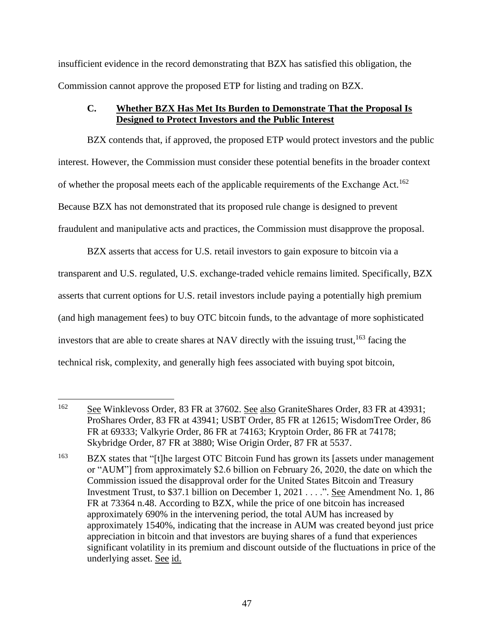insufficient evidence in the record demonstrating that BZX has satisfied this obligation, the Commission cannot approve the proposed ETP for listing and trading on BZX.

## **C. Whether BZX Has Met Its Burden to Demonstrate That the Proposal Is Designed to Protect Investors and the Public Interest**

BZX contends that, if approved, the proposed ETP would protect investors and the public interest. However, the Commission must consider these potential benefits in the broader context of whether the proposal meets each of the applicable requirements of the Exchange Act.<sup>162</sup> Because BZX has not demonstrated that its proposed rule change is designed to prevent fraudulent and manipulative acts and practices, the Commission must disapprove the proposal.

BZX asserts that access for U.S. retail investors to gain exposure to bitcoin via a transparent and U.S. regulated, U.S. exchange-traded vehicle remains limited. Specifically, BZX asserts that current options for U.S. retail investors include paying a potentially high premium (and high management fees) to buy OTC bitcoin funds, to the advantage of more sophisticated investors that are able to create shares at NAV directly with the issuing trust, <sup>163</sup> facing the technical risk, complexity, and generally high fees associated with buying spot bitcoin,

<sup>&</sup>lt;sup>162</sup> See Winklevoss Order, 83 FR at 37602. See also GraniteShares Order, 83 FR at 43931; ProShares Order, 83 FR at 43941; USBT Order, 85 FR at 12615; WisdomTree Order, 86 FR at 69333; Valkyrie Order, 86 FR at 74163; Kryptoin Order, 86 FR at 74178; Skybridge Order, 87 FR at 3880; Wise Origin Order, 87 FR at 5537.

<sup>&</sup>lt;sup>163</sup> BZX states that "[t]he largest OTC Bitcoin Fund has grown its [assets under management or "AUM"] from approximately \$2.6 billion on February 26, 2020, the date on which the Commission issued the disapproval order for the United States Bitcoin and Treasury Investment Trust, to \$37.1 billion on December 1, 2021 . . . .". See Amendment No. 1, 86 FR at 73364 n.48. According to BZX, while the price of one bitcoin has increased approximately 690% in the intervening period, the total AUM has increased by approximately 1540%, indicating that the increase in AUM was created beyond just price appreciation in bitcoin and that investors are buying shares of a fund that experiences significant volatility in its premium and discount outside of the fluctuations in price of the underlying asset. See id.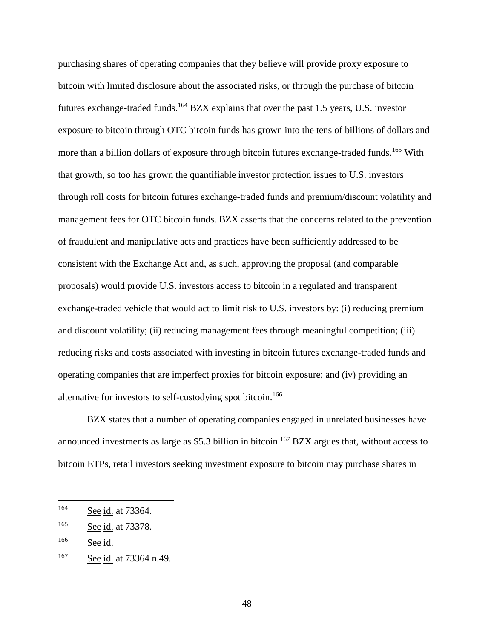purchasing shares of operating companies that they believe will provide proxy exposure to bitcoin with limited disclosure about the associated risks, or through the purchase of bitcoin futures exchange-traded funds.<sup>164</sup> BZX explains that over the past 1.5 years, U.S. investor exposure to bitcoin through OTC bitcoin funds has grown into the tens of billions of dollars and more than a billion dollars of exposure through bitcoin futures exchange-traded funds.<sup>165</sup> With that growth, so too has grown the quantifiable investor protection issues to U.S. investors through roll costs for bitcoin futures exchange-traded funds and premium/discount volatility and management fees for OTC bitcoin funds. BZX asserts that the concerns related to the prevention of fraudulent and manipulative acts and practices have been sufficiently addressed to be consistent with the Exchange Act and, as such, approving the proposal (and comparable proposals) would provide U.S. investors access to bitcoin in a regulated and transparent exchange-traded vehicle that would act to limit risk to U.S. investors by: (i) reducing premium and discount volatility; (ii) reducing management fees through meaningful competition; (iii) reducing risks and costs associated with investing in bitcoin futures exchange-traded funds and operating companies that are imperfect proxies for bitcoin exposure; and (iv) providing an alternative for investors to self-custodying spot bitcoin.<sup>166</sup>

BZX states that a number of operating companies engaged in unrelated businesses have announced investments as large as \$5.3 billion in bitcoin.<sup>167</sup> BZX argues that, without access to bitcoin ETPs, retail investors seeking investment exposure to bitcoin may purchase shares in

<sup>164</sup> See id. at 73364.

<sup>165</sup> See id. at 73378.

<sup>166</sup> See id.

<sup>167</sup> See id. at 73364 n.49.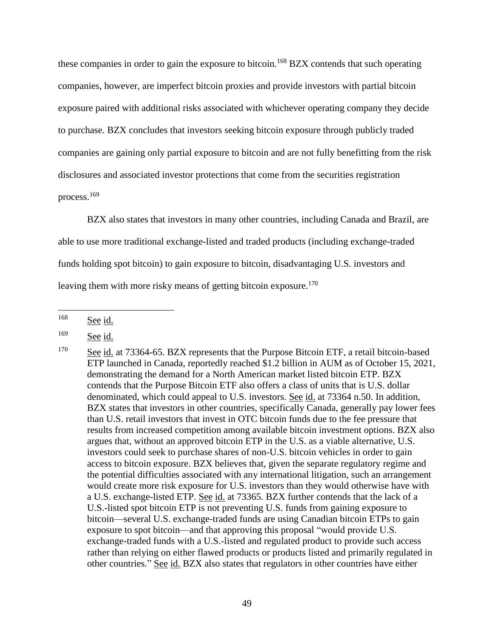these companies in order to gain the exposure to bitcoin.<sup>168</sup> BZX contends that such operating companies, however, are imperfect bitcoin proxies and provide investors with partial bitcoin exposure paired with additional risks associated with whichever operating company they decide to purchase. BZX concludes that investors seeking bitcoin exposure through publicly traded companies are gaining only partial exposure to bitcoin and are not fully benefitting from the risk disclosures and associated investor protections that come from the securities registration process.<sup>169</sup>

BZX also states that investors in many other countries, including Canada and Brazil, are able to use more traditional exchange-listed and traded products (including exchange-traded funds holding spot bitcoin) to gain exposure to bitcoin, disadvantaging U.S. investors and leaving them with more risky means of getting bitcoin exposure.<sup>170</sup>

<sup>&</sup>lt;sup>168</sup> See id.

 $169$  See id.

<sup>&</sup>lt;sup>170</sup> See id. at 73364-65. BZX represents that the Purpose Bitcoin ETF, a retail bitcoin-based ETP launched in Canada, reportedly reached \$1.2 billion in AUM as of October 15, 2021, demonstrating the demand for a North American market listed bitcoin ETP. BZX contends that the Purpose Bitcoin ETF also offers a class of units that is U.S. dollar denominated, which could appeal to U.S. investors. See id. at 73364 n.50. In addition, BZX states that investors in other countries, specifically Canada, generally pay lower fees than U.S. retail investors that invest in OTC bitcoin funds due to the fee pressure that results from increased competition among available bitcoin investment options. BZX also argues that, without an approved bitcoin ETP in the U.S. as a viable alternative, U.S. investors could seek to purchase shares of non-U.S. bitcoin vehicles in order to gain access to bitcoin exposure. BZX believes that, given the separate regulatory regime and the potential difficulties associated with any international litigation, such an arrangement would create more risk exposure for U.S. investors than they would otherwise have with a U.S. exchange-listed ETP. See id. at 73365. BZX further contends that the lack of a U.S.-listed spot bitcoin ETP is not preventing U.S. funds from gaining exposure to bitcoin—several U.S. exchange-traded funds are using Canadian bitcoin ETPs to gain exposure to spot bitcoin—and that approving this proposal "would provide U.S. exchange-traded funds with a U.S.-listed and regulated product to provide such access rather than relying on either flawed products or products listed and primarily regulated in other countries." See id. BZX also states that regulators in other countries have either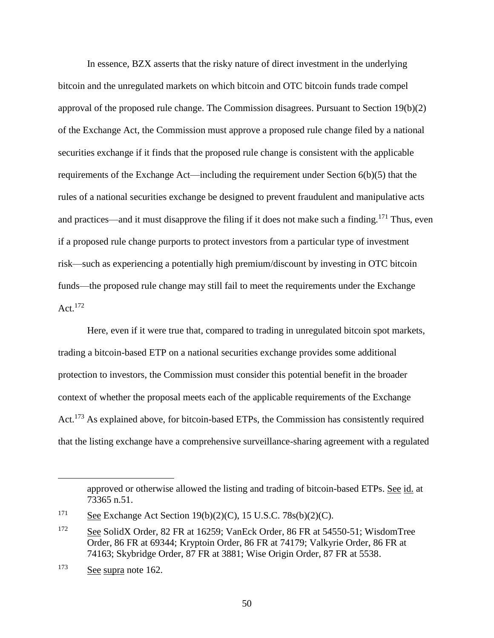In essence, BZX asserts that the risky nature of direct investment in the underlying bitcoin and the unregulated markets on which bitcoin and OTC bitcoin funds trade compel approval of the proposed rule change. The Commission disagrees. Pursuant to Section 19(b)(2) of the Exchange Act, the Commission must approve a proposed rule change filed by a national securities exchange if it finds that the proposed rule change is consistent with the applicable requirements of the Exchange Act—including the requirement under Section 6(b)(5) that the rules of a national securities exchange be designed to prevent fraudulent and manipulative acts and practices—and it must disapprove the filing if it does not make such a finding.<sup>171</sup> Thus, even if a proposed rule change purports to protect investors from a particular type of investment risk—such as experiencing a potentially high premium/discount by investing in OTC bitcoin funds—the proposed rule change may still fail to meet the requirements under the Exchange Act.<sup>172</sup>

Here, even if it were true that, compared to trading in unregulated bitcoin spot markets, trading a bitcoin-based ETP on a national securities exchange provides some additional protection to investors, the Commission must consider this potential benefit in the broader context of whether the proposal meets each of the applicable requirements of the Exchange Act.<sup>173</sup> As explained above, for bitcoin-based ETPs, the Commission has consistently required that the listing exchange have a comprehensive surveillance-sharing agreement with a regulated

approved or otherwise allowed the listing and trading of bitcoin-based ETPs. See id. at 73365 n.51.

 $171$  See Exchange Act Section 19(b)(2)(C), 15 U.S.C. 78s(b)(2)(C).

<sup>172</sup> See SolidX Order, 82 FR at 16259; VanEck Order, 86 FR at 54550-51; WisdomTree Order, 86 FR at 69344; Kryptoin Order, 86 FR at 74179; Valkyrie Order, 86 FR at 74163; Skybridge Order, 87 FR at 3881; Wise Origin Order, 87 FR at 5538.

<sup>173</sup> See supra note 162.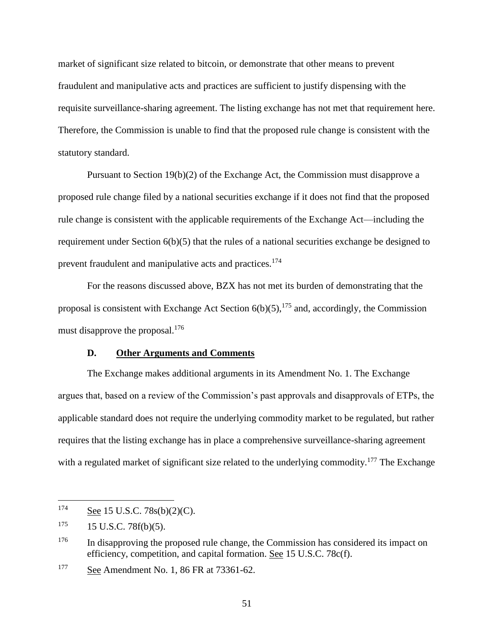market of significant size related to bitcoin, or demonstrate that other means to prevent fraudulent and manipulative acts and practices are sufficient to justify dispensing with the requisite surveillance-sharing agreement. The listing exchange has not met that requirement here. Therefore, the Commission is unable to find that the proposed rule change is consistent with the statutory standard.

Pursuant to Section 19(b)(2) of the Exchange Act, the Commission must disapprove a proposed rule change filed by a national securities exchange if it does not find that the proposed rule change is consistent with the applicable requirements of the Exchange Act—including the requirement under Section 6(b)(5) that the rules of a national securities exchange be designed to prevent fraudulent and manipulative acts and practices.<sup>174</sup>

For the reasons discussed above, BZX has not met its burden of demonstrating that the proposal is consistent with Exchange Act Section  $6(b)(5)$ ,  $^{175}$  and, accordingly, the Commission must disapprove the proposal.<sup>176</sup>

#### **D. Other Arguments and Comments**

The Exchange makes additional arguments in its Amendment No. 1. The Exchange argues that, based on a review of the Commission's past approvals and disapprovals of ETPs, the applicable standard does not require the underlying commodity market to be regulated, but rather requires that the listing exchange has in place a comprehensive surveillance-sharing agreement with a regulated market of significant size related to the underlying commodity.<sup>177</sup> The Exchange

 $174$  See 15 U.S.C. 78s(b)(2)(C).

 $175$  15 U.S.C. 78f(b)(5).

 $176$  In disapproving the proposed rule change, the Commission has considered its impact on efficiency, competition, and capital formation. See 15 U.S.C. 78c(f).

<sup>&</sup>lt;sup>177</sup> See Amendment No. 1, 86 FR at 73361-62.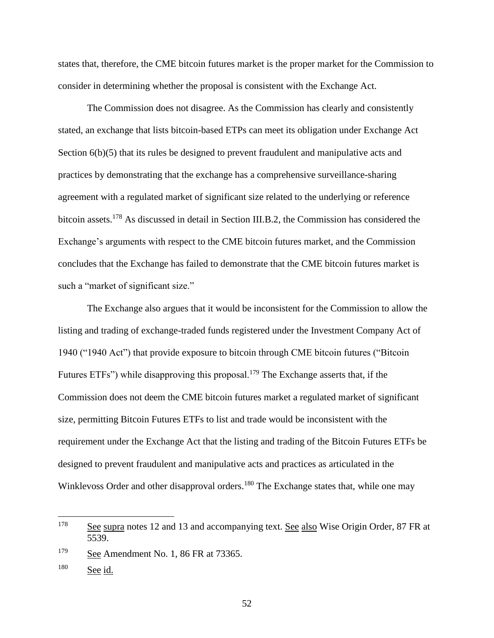states that, therefore, the CME bitcoin futures market is the proper market for the Commission to consider in determining whether the proposal is consistent with the Exchange Act.

The Commission does not disagree. As the Commission has clearly and consistently stated, an exchange that lists bitcoin-based ETPs can meet its obligation under Exchange Act Section  $6(b)(5)$  that its rules be designed to prevent fraudulent and manipulative acts and practices by demonstrating that the exchange has a comprehensive surveillance-sharing agreement with a regulated market of significant size related to the underlying or reference bitcoin assets.<sup>178</sup> As discussed in detail in Section III.B.2, the Commission has considered the Exchange's arguments with respect to the CME bitcoin futures market, and the Commission concludes that the Exchange has failed to demonstrate that the CME bitcoin futures market is such a "market of significant size."

The Exchange also argues that it would be inconsistent for the Commission to allow the listing and trading of exchange-traded funds registered under the Investment Company Act of 1940 ("1940 Act") that provide exposure to bitcoin through CME bitcoin futures ("Bitcoin Futures ETFs") while disapproving this proposal.<sup>179</sup> The Exchange asserts that, if the Commission does not deem the CME bitcoin futures market a regulated market of significant size, permitting Bitcoin Futures ETFs to list and trade would be inconsistent with the requirement under the Exchange Act that the listing and trading of the Bitcoin Futures ETFs be designed to prevent fraudulent and manipulative acts and practices as articulated in the Winklevoss Order and other disapproval orders.<sup>180</sup> The Exchange states that, while one may

<sup>178</sup> See supra notes 12 and 13 and accompanying text. See also Wise Origin Order, 87 FR at 5539.

 $\frac{179}{2}$  See Amendment No. 1, 86 FR at 73365.

<sup>&</sup>lt;sup>180</sup> See id.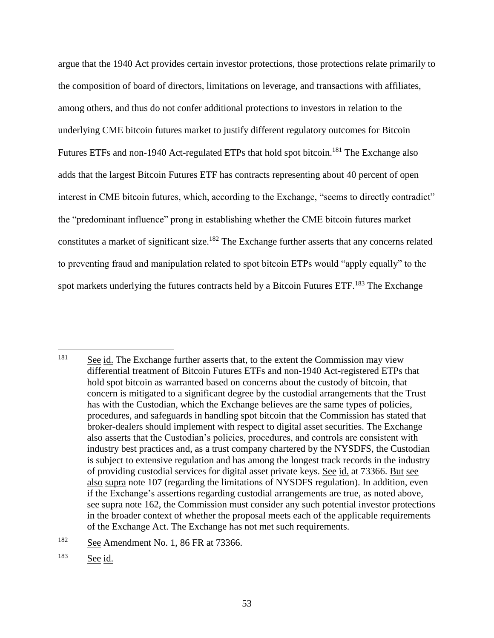argue that the 1940 Act provides certain investor protections, those protections relate primarily to the composition of board of directors, limitations on leverage, and transactions with affiliates, among others, and thus do not confer additional protections to investors in relation to the underlying CME bitcoin futures market to justify different regulatory outcomes for Bitcoin Futures ETFs and non-1940 Act-regulated ETPs that hold spot bitcoin.<sup>181</sup> The Exchange also adds that the largest Bitcoin Futures ETF has contracts representing about 40 percent of open interest in CME bitcoin futures, which, according to the Exchange, "seems to directly contradict" the "predominant influence" prong in establishing whether the CME bitcoin futures market constitutes a market of significant size.<sup>182</sup> The Exchange further asserts that any concerns related to preventing fraud and manipulation related to spot bitcoin ETPs would "apply equally" to the spot markets underlying the futures contracts held by a Bitcoin Futures  $ETF<sup>183</sup>$ . The Exchange

 $\overline{a}$ <sup>181</sup> See id. The Exchange further asserts that, to the extent the Commission may view differential treatment of Bitcoin Futures ETFs and non-1940 Act-registered ETPs that hold spot bitcoin as warranted based on concerns about the custody of bitcoin, that concern is mitigated to a significant degree by the custodial arrangements that the Trust has with the Custodian, which the Exchange believes are the same types of policies, procedures, and safeguards in handling spot bitcoin that the Commission has stated that broker-dealers should implement with respect to digital asset securities. The Exchange also asserts that the Custodian's policies, procedures, and controls are consistent with industry best practices and, as a trust company chartered by the NYSDFS, the Custodian is subject to extensive regulation and has among the longest track records in the industry of providing custodial services for digital asset private keys. See id. at 73366. But see also supra note 107 (regarding the limitations of NYSDFS regulation). In addition, even if the Exchange's assertions regarding custodial arrangements are true, as noted above, see supra note 162, the Commission must consider any such potential investor protections in the broader context of whether the proposal meets each of the applicable requirements of the Exchange Act. The Exchange has not met such requirements.

<sup>&</sup>lt;sup>182</sup> See Amendment No. 1, 86 FR at 73366.

<sup>183</sup> See id.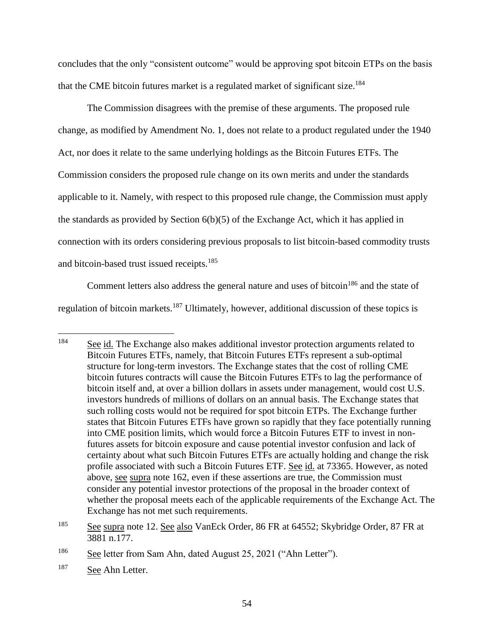concludes that the only "consistent outcome" would be approving spot bitcoin ETPs on the basis that the CME bitcoin futures market is a regulated market of significant size.<sup>184</sup>

The Commission disagrees with the premise of these arguments. The proposed rule change, as modified by Amendment No. 1, does not relate to a product regulated under the 1940 Act, nor does it relate to the same underlying holdings as the Bitcoin Futures ETFs. The Commission considers the proposed rule change on its own merits and under the standards applicable to it. Namely, with respect to this proposed rule change, the Commission must apply the standards as provided by Section 6(b)(5) of the Exchange Act, which it has applied in connection with its orders considering previous proposals to list bitcoin-based commodity trusts and bitcoin-based trust issued receipts.<sup>185</sup>

Comment letters also address the general nature and uses of bitcoin<sup>186</sup> and the state of regulation of bitcoin markets.<sup>187</sup> Ultimately, however, additional discussion of these topics is

<sup>&</sup>lt;sup>184</sup> See id. The Exchange also makes additional investor protection arguments related to Bitcoin Futures ETFs, namely, that Bitcoin Futures ETFs represent a sub-optimal structure for long-term investors. The Exchange states that the cost of rolling CME bitcoin futures contracts will cause the Bitcoin Futures ETFs to lag the performance of bitcoin itself and, at over a billion dollars in assets under management, would cost U.S. investors hundreds of millions of dollars on an annual basis. The Exchange states that such rolling costs would not be required for spot bitcoin ETPs. The Exchange further states that Bitcoin Futures ETFs have grown so rapidly that they face potentially running into CME position limits, which would force a Bitcoin Futures ETF to invest in nonfutures assets for bitcoin exposure and cause potential investor confusion and lack of certainty about what such Bitcoin Futures ETFs are actually holding and change the risk profile associated with such a Bitcoin Futures ETF. See id. at 73365. However, as noted above, see supra note 162, even if these assertions are true, the Commission must consider any potential investor protections of the proposal in the broader context of whether the proposal meets each of the applicable requirements of the Exchange Act. The Exchange has not met such requirements.

<sup>185</sup> See supra note 12. See also VanEck Order, 86 FR at 64552; Skybridge Order, 87 FR at 3881 n.177.

<sup>&</sup>lt;sup>186</sup> See letter from Sam Ahn, dated August 25, 2021 ("Ahn Letter").

<sup>187</sup> See Ahn Letter.